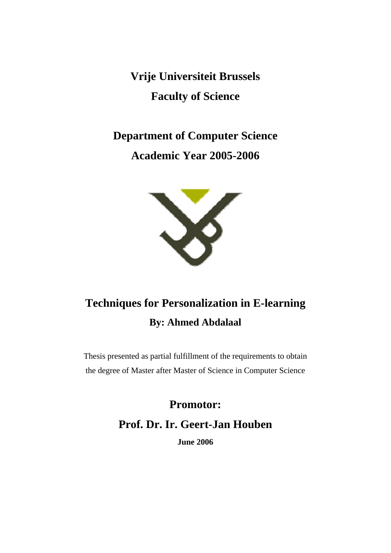**Vrije Universiteit Brussels Faculty of Science** 

**Department of Computer Science Academic Year 2005-2006** 



# **Techniques for Personalization in E-learning By: Ahmed Abdalaal**

Thesis presented as partial fulfillment of the requirements to obtain the degree of Master after Master of Science in Computer Science

> **Promotor: Prof. Dr. Ir. Geert-Jan Houben**

> > **June 2006**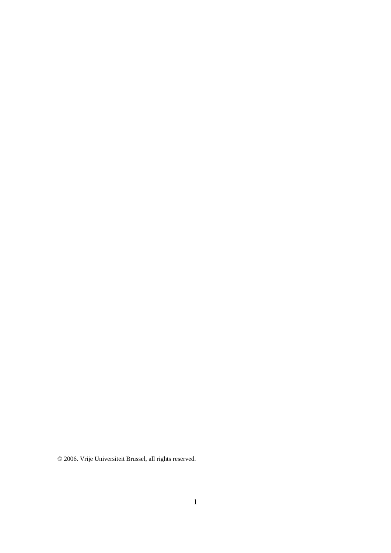© 2006. Vrije Universiteit Brussel, all rights reserved.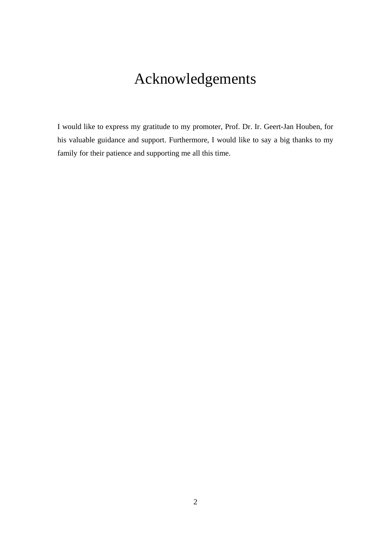# Acknowledgements

I would like to express my gratitude to my promoter, Prof. Dr. Ir. Geert-Jan Houben, for his valuable guidance and support. Furthermore, I would like to say a big thanks to my family for their patience and supporting me all this time.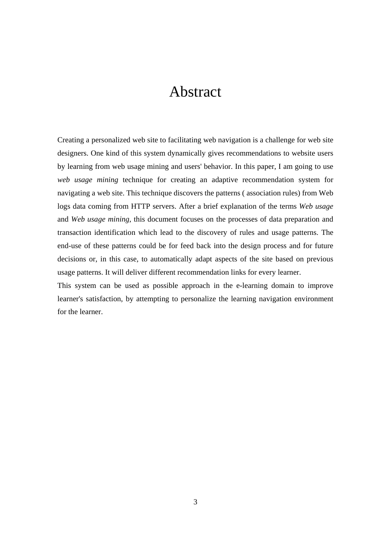# Abstract

Creating a personalized web site to facilitating web navigation is a challenge for web site designers. One kind of this system dynamically gives recommendations to website users by learning from web usage mining and users' behavior. In this paper, I am going to use *web usage mining* technique for creating an adaptive recommendation system for navigating a web site. This technique discovers the patterns ( association rules) from Web logs data coming from HTTP servers. After a brief explanation of the terms *Web usage* and *Web usage mining*, this document focuses on the processes of data preparation and transaction identification which lead to the discovery of rules and usage patterns. The end-use of these patterns could be for feed back into the design process and for future decisions or, in this case, to automatically adapt aspects of the site based on previous usage patterns. It will deliver different recommendation links for every learner.

This system can be used as possible approach in the e-learning domain to improve learner's satisfaction, by attempting to personalize the learning navigation environment for the learner.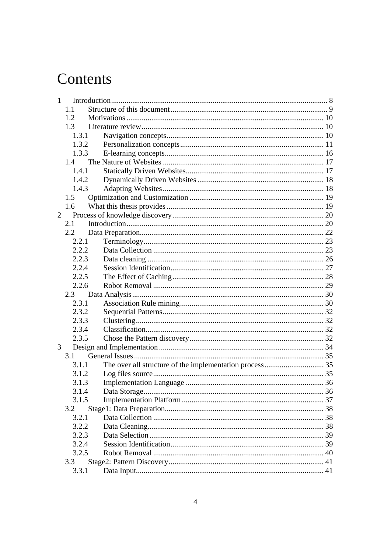# Contents

|                | 1     |  |  |
|----------------|-------|--|--|
|                | 1.1   |  |  |
|                | 1.2   |  |  |
|                | 1.3   |  |  |
|                | 1.3.1 |  |  |
|                | 1.3.2 |  |  |
|                | 1.3.3 |  |  |
|                | 1.4   |  |  |
|                | 1.4.1 |  |  |
|                | 1.4.2 |  |  |
|                | 1.4.3 |  |  |
|                | 1.5   |  |  |
|                | 1.6   |  |  |
| $\overline{2}$ |       |  |  |
|                | 2.1   |  |  |
|                | 2.2   |  |  |
|                | 2.2.1 |  |  |
|                | 2.2.2 |  |  |
|                | 2.2.3 |  |  |
|                | 2.2.4 |  |  |
|                | 2.2.5 |  |  |
|                | 2.2.6 |  |  |
|                | 2.3   |  |  |
|                | 2.3.1 |  |  |
|                | 2.3.2 |  |  |
|                | 2.3.3 |  |  |
|                | 2.3.4 |  |  |
|                | 2.3.5 |  |  |
| 3              |       |  |  |
|                | 3.1   |  |  |
|                | 3.1.1 |  |  |
|                | 3.1.2 |  |  |
|                | 3.1.3 |  |  |
|                | 3.1.4 |  |  |
|                | 3.1.5 |  |  |
|                | 3.2   |  |  |
|                | 3.2.1 |  |  |
|                | 3.2.2 |  |  |
|                | 3.2.3 |  |  |
|                | 3.2.4 |  |  |
|                | 3.2.5 |  |  |
|                | 3.3   |  |  |
|                | 3.3.1 |  |  |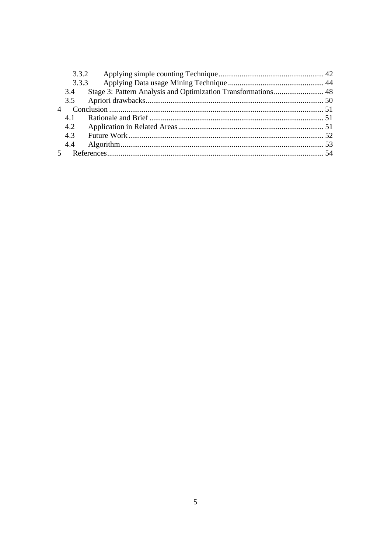|                | 3.3.2 |  |
|----------------|-------|--|
|                | 3.3.3 |  |
|                | 3.4   |  |
|                |       |  |
| $\overline{4}$ |       |  |
|                | 4.1   |  |
|                | 4.2   |  |
|                | 4.3   |  |
|                | 4.4   |  |
|                |       |  |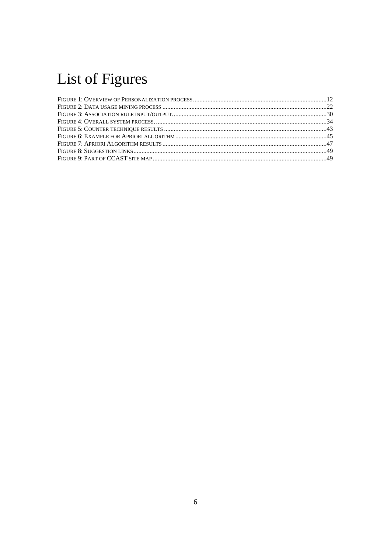# List of Figures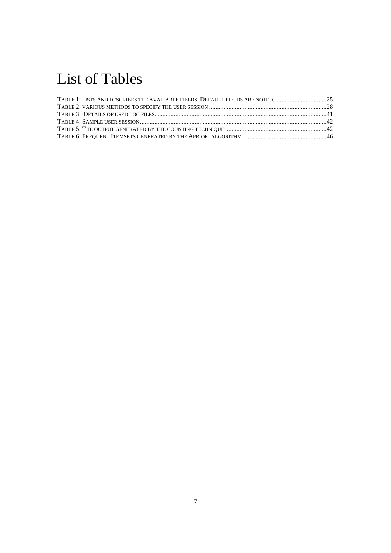# List of Tables

| TABLE 1: LISTS AND DESCRIBES THE AVAILABLE FIELDS. DEFAULT FIELDS ARE NOTED25 |  |
|-------------------------------------------------------------------------------|--|
|                                                                               |  |
|                                                                               |  |
|                                                                               |  |
|                                                                               |  |
|                                                                               |  |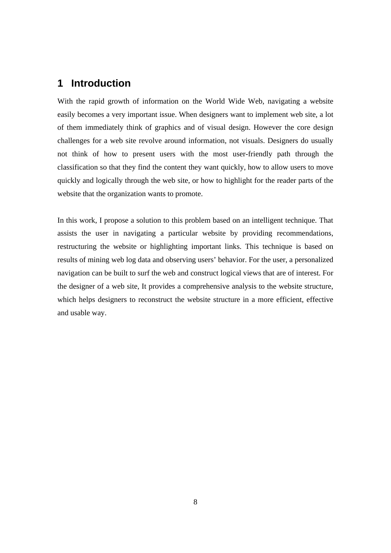# **1 Introduction**

With the rapid growth of information on the World Wide Web, navigating a website easily becomes a very important issue. When designers want to implement web site, a lot of them immediately think of graphics and of visual design. However the core design challenges for a web site revolve around information, not visuals. Designers do usually not think of how to present users with the most user-friendly path through the classification so that they find the content they want quickly, how to allow users to move quickly and logically through the web site, or how to highlight for the reader parts of the website that the organization wants to promote.

In this work, I propose a solution to this problem based on an intelligent technique. That assists the user in navigating a particular website by providing recommendations, restructuring the website or highlighting important links. This technique is based on results of mining web log data and observing users' behavior. For the user, a personalized navigation can be built to surf the web and construct logical views that are of interest. For the designer of a web site, It provides a comprehensive analysis to the website structure, which helps designers to reconstruct the website structure in a more efficient, effective and usable way.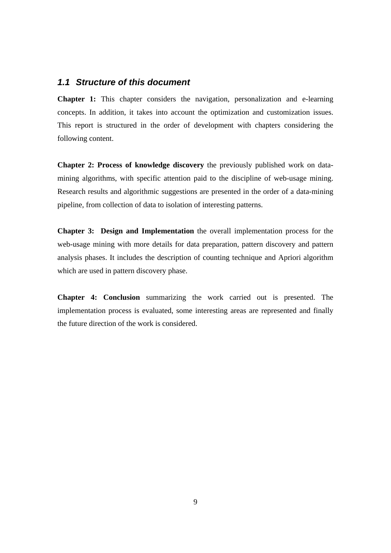#### *1.1 Structure of this document*

**Chapter 1:** This chapter considers the navigation, personalization and e-learning concepts. In addition, it takes into account the optimization and customization issues. This report is structured in the order of development with chapters considering the following content.

**Chapter 2: Process of knowledge discovery** the previously published work on datamining algorithms, with specific attention paid to the discipline of web-usage mining. Research results and algorithmic suggestions are presented in the order of a data-mining pipeline, from collection of data to isolation of interesting patterns.

**Chapter 3: Design and Implementation** the overall implementation process for the web-usage mining with more details for data preparation, pattern discovery and pattern analysis phases. It includes the description of counting technique and Apriori algorithm which are used in pattern discovery phase.

**Chapter 4: Conclusion** summarizing the work carried out is presented. The implementation process is evaluated, some interesting areas are represented and finally the future direction of the work is considered.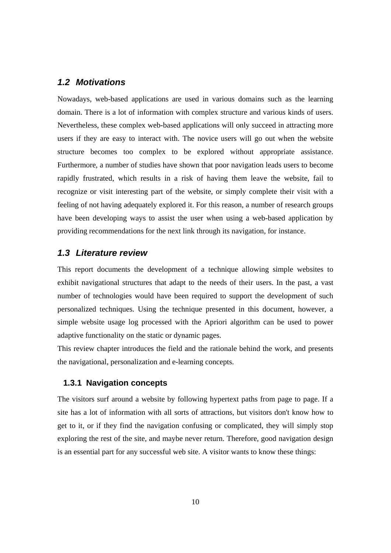#### *1.2 Motivations*

Nowadays, web-based applications are used in various domains such as the learning domain. There is a lot of information with complex structure and various kinds of users. Nevertheless, these complex web-based applications will only succeed in attracting more users if they are easy to interact with. The novice users will go out when the website structure becomes too complex to be explored without appropriate assistance. Furthermore, a number of studies have shown that poor navigation leads users to become rapidly frustrated, which results in a risk of having them leave the website, fail to recognize or visit interesting part of the website, or simply complete their visit with a feeling of not having adequately explored it. For this reason, a number of research groups have been developing ways to assist the user when using a web-based application by providing recommendations for the next link through its navigation, for instance.

#### *1.3 Literature review*

This report documents the development of a technique allowing simple websites to exhibit navigational structures that adapt to the needs of their users. In the past, a vast number of technologies would have been required to support the development of such personalized techniques. Using the technique presented in this document, however, a simple website usage log processed with the Apriori algorithm can be used to power adaptive functionality on the static or dynamic pages.

This review chapter introduces the field and the rationale behind the work, and presents the navigational, personalization and e-learning concepts.

#### **1.3.1 Navigation concepts**

The visitors surf around a website by following hypertext paths from page to page. If a site has a lot of information with all sorts of attractions, but visitors don't know how to get to it, or if they find the navigation confusing or complicated, they will simply stop exploring the rest of the site, and maybe never return. Therefore, good navigation design is an essential part for any successful web site. A visitor wants to know these things: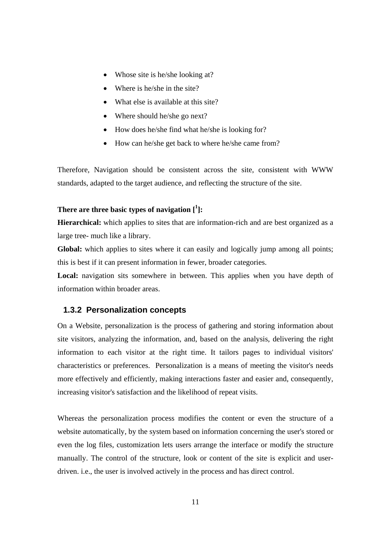- Whose site is he/she looking at?
- Where is he/she in the site?
- What else is available at this site?
- Where should he/she go next?
- How does he/she find what he/she is looking for?
- How can he/she get back to where he/she came from?

Therefore, Navigation should be consistent across the site, consistent with WWW standards, adapted to the target audience, and reflecting the structure of the site.

## **There are three basic types of navigation [1 ]:**

**Hierarchical:** which applies to sites that are information-rich and are best organized as a large tree- much like a library.

Global: which applies to sites where it can easily and logically jump among all points; this is best if it can present information in fewer, broader categories.

Local: navigation sits somewhere in between. This applies when you have depth of information within broader areas.

#### **1.3.2 Personalization concepts**

On a Website, personalization is the process of gathering and storing information about site visitors, analyzing the information, and, based on the analysis, delivering the right information to each visitor at the right time. It tailors pages to individual visitors' characteristics or preferences. Personalization is a means of meeting the visitor's needs more effectively and efficiently, making interactions faster and easier and, consequently, increasing visitor's satisfaction and the likelihood of repeat visits.

Whereas the personalization process modifies the content or even the structure of a website automatically, by the system based on information concerning the user's stored or even the log files, customization lets users arrange the interface or modify the structure manually. The control of the structure, look or content of the site is explicit and userdriven. i.e., the user is involved actively in the process and has direct control.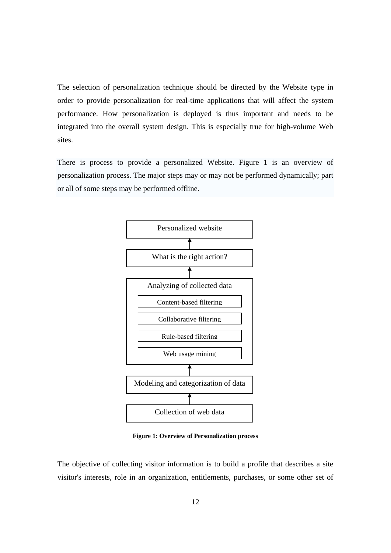The selection of personalization technique should be directed by the Website type in order to provide personalization for real-time applications that will affect the system performance. How personalization is deployed is thus important and needs to be integrated into the overall system design. This is especially true for high-volume Web sites.

There is process to provide a personalized Website. Figure 1 is an overview of personalization process. The major steps may or may not be performed dynamically; part or all of some steps may be performed offline.



**Figure 1: Overview of Personalization process** 

The objective of collecting visitor information is to build a profile that describes a site visitor's interests, role in an organization, entitlements, purchases, or some other set of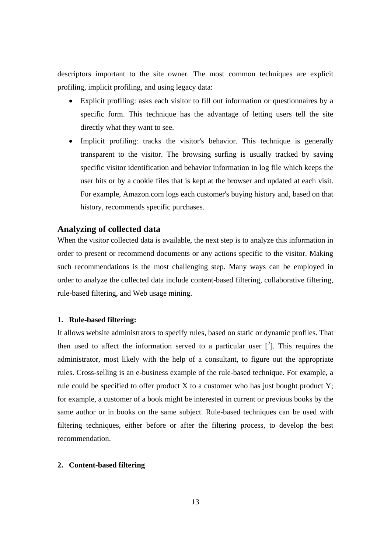descriptors important to the site owner. The most common techniques are explicit profiling, implicit profiling, and using legacy data:

- Explicit profiling: asks each visitor to fill out information or questionnaires by a specific form. This technique has the advantage of letting users tell the site directly what they want to see.
- Implicit profiling: tracks the visitor's behavior. This technique is generally transparent to the visitor. The browsing surfing is usually tracked by saving specific visitor identification and behavior information in log file which keeps the user hits or by a cookie files that is kept at the browser and updated at each visit. For example, Amazon.com logs each customer's buying history and, based on that history, recommends specific purchases.

#### **Analyzing of collected data**

When the visitor collected data is available, the next step is to analyze this information in order to present or recommend documents or any actions specific to the visitor. Making such recommendations is the most challenging step. Many ways can be employed in order to analyze the collected data include content-based filtering, collaborative filtering, rule-based filtering, and Web usage mining.

#### **1. Rule-based filtering:**

It allows website administrators to specify rules, based on static or dynamic profiles. That then used to affect the information served to a particular user  $\binom{2}{1}$ . This requires the administrator, most likely with the help of a consultant, to figure out the appropriate rules. Cross-selling is an e-business example of the rule-based technique. For example, a rule could be specified to offer product  $X$  to a customer who has just bought product  $Y$ ; for example, a customer of a book might be interested in current or previous books by the same author or in books on the same subject. Rule-based techniques can be used with filtering techniques, either before or after the filtering process, to develop the best recommendation.

#### **2. Content-based filtering**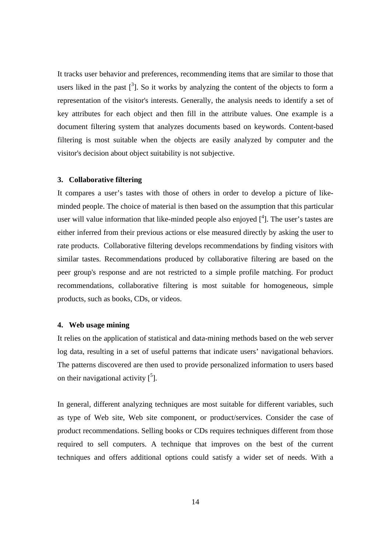It tracks user behavior and preferences, recommending items that are similar to those that users liked in the past  $\left[\begin{array}{c}3\end{array}\right]$ . So it works by analyzing the content of the objects to form a representation of the visitor's interests. Generally, the analysis needs to identify a set of key attributes for each object and then fill in the attribute values. One example is a document filtering system that analyzes documents based on keywords. Content-based filtering is most suitable when the objects are easily analyzed by computer and the visitor's decision about object suitability is not subjective.

#### **3. Collaborative filtering**

It compares a user's tastes with those of others in order to develop a picture of likeminded people. The choice of material is then based on the assumption that this particular user will value information that like-minded people also enjoyed  $[4]$ . The user's tastes are either inferred from their previous actions or else measured directly by asking the user to rate products. Collaborative filtering develops recommendations by finding visitors with similar tastes. Recommendations produced by collaborative filtering are based on the peer group's response and are not restricted to a simple profile matching. For product recommendations, collaborative filtering is most suitable for homogeneous, simple products, such as books, CDs, or videos.

#### **4. Web usage mining**

It relies on the application of statistical and data-mining methods based on the web server log data, resulting in a set of useful patterns that indicate users' navigational behaviors. The patterns discovered are then used to provide personalized information to users based on their navigational activity  $\binom{5}{1}$ .

In general, different analyzing techniques are most suitable for different variables, such as type of Web site, Web site component, or product/services. Consider the case of product recommendations. Selling books or CDs requires techniques different from those required to sell computers. A technique that improves on the best of the current techniques and offers additional options could satisfy a wider set of needs. With a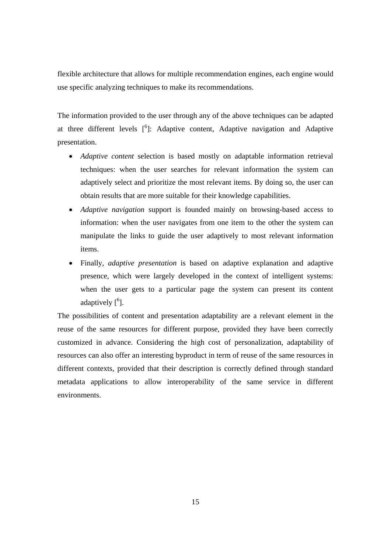flexible architecture that allows for multiple recommendation engines, each engine would use specific analyzing techniques to make its recommendations.

The information provided to the user through any of the above techniques can be adapted at three different levels  $[6]$ : Adaptive content, Adaptive navigation and Adaptive presentation.

- *Adaptive content* selection is based mostly on adaptable information retrieval techniques: when the user searches for relevant information the system can adaptively select and prioritize the most relevant items. By doing so, the user can obtain results that are more suitable for their knowledge capabilities.
- *Adaptive navigation* support is founded mainly on browsing-based access to information: when the user navigates from one item to the other the system can manipulate the links to guide the user adaptively to most relevant information items.
- Finally, *adaptive presentation* is based on adaptive explanation and adaptive presence, which were largely developed in the context of intelligent systems: when the user gets to a particular page the system can present its content adaptively  $[6]$ .

The possibilities of content and presentation adaptability are a relevant element in the reuse of the same resources for different purpose, provided they have been correctly customized in advance. Considering the high cost of personalization, adaptability of resources can also offer an interesting byproduct in term of reuse of the same resources in different contexts, provided that their description is correctly defined through standard metadata applications to allow interoperability of the same service in different environments.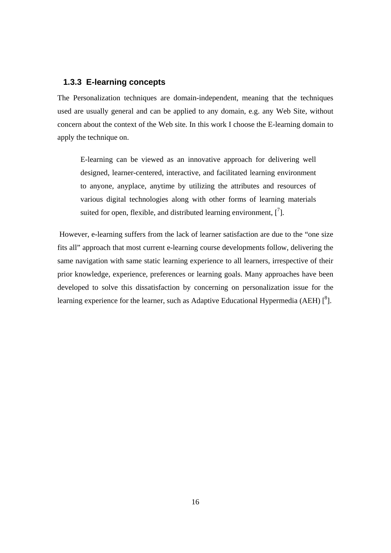#### **1.3.3 E-learning concepts**

The Personalization techniques are domain-independent, meaning that the techniques used are usually general and can be applied to any domain, e.g. any Web Site, without concern about the context of the Web site. In this work I choose the E-learning domain to apply the technique on.

E-learning can be viewed as an innovative approach for delivering well designed, learner-centered, interactive, and facilitated learning environment to anyone, anyplace, anytime by utilizing the attributes and resources of various digital technologies along with other forms of learning materials suited for open, flexible, and distributed learning environment,  $\begin{bmatrix} 7 \end{bmatrix}$ .

 However, e-learning suffers from the lack of learner satisfaction are due to the "one size fits all" approach that most current e-learning course developments follow, delivering the same navigation with same static learning experience to all learners, irrespective of their prior knowledge, experience, preferences or learning goals. Many approaches have been developed to solve this dissatisfaction by concerning on personalization issue for the learning experience for the learner, such as Adaptive Educational Hypermedia (AEH)  $\binom{8}{1}$ .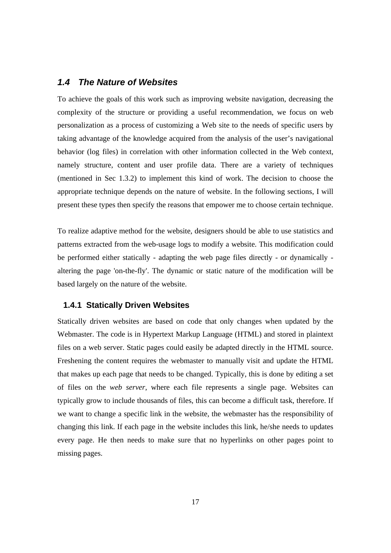#### *1.4 The Nature of Websites*

To achieve the goals of this work such as improving website navigation, decreasing the complexity of the structure or providing a useful recommendation, we focus on web personalization as a process of customizing a Web site to the needs of specific users by taking advantage of the knowledge acquired from the analysis of the user's navigational behavior (log files) in correlation with other information collected in the Web context, namely structure, content and user profile data. There are a variety of techniques (mentioned in Sec 1.3.2) to implement this kind of work. The decision to choose the appropriate technique depends on the nature of website. In the following sections, I will present these types then specify the reasons that empower me to choose certain technique.

To realize adaptive method for the website, designers should be able to use statistics and patterns extracted from the web-usage logs to modify a website. This modification could be performed either statically - adapting the web page files directly - or dynamically altering the page 'on-the-fly'. The dynamic or static nature of the modification will be based largely on the nature of the website.

#### **1.4.1 Statically Driven Websites**

Statically driven websites are based on code that only changes when updated by the Webmaster. The code is in Hypertext Markup Language (HTML) and stored in plaintext files on a web server. Static pages could easily be adapted directly in the HTML source. Freshening the content requires the webmaster to manually visit and update the HTML that makes up each page that needs to be changed. Typically, this is done by editing a set of files on the *web server*, where each file represents a single page. Websites can typically grow to include thousands of files, this can become a difficult task, therefore. If we want to change a specific link in the website, the webmaster has the responsibility of changing this link. If each page in the website includes this link, he/she needs to updates every page. He then needs to make sure that no hyperlinks on other pages point to missing pages.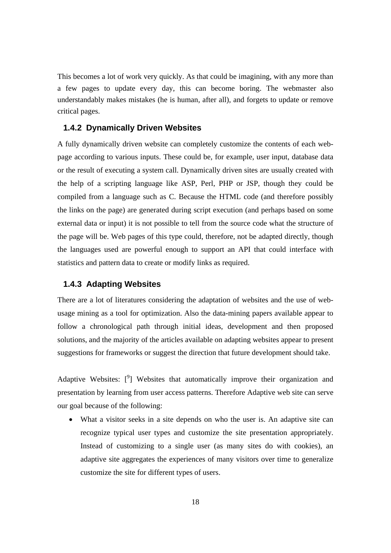This becomes a lot of work very quickly. As that could be imagining, with any more than a few pages to update every day, this can become boring. The webmaster also understandably makes mistakes (he is human, after all), and forgets to update or remove critical pages.

#### **1.4.2 Dynamically Driven Websites**

A fully dynamically driven website can completely customize the contents of each webpage according to various inputs. These could be, for example, user input, database data or the result of executing a system call. Dynamically driven sites are usually created with the help of a scripting language like ASP, Perl, PHP or JSP, though they could be compiled from a language such as C. Because the HTML code (and therefore possibly the links on the page) are generated during script execution (and perhaps based on some external data or input) it is not possible to tell from the source code what the structure of the page will be. Web pages of this type could, therefore, not be adapted directly, though the languages used are powerful enough to support an API that could interface with statistics and pattern data to create or modify links as required.

#### **1.4.3 Adapting Websites**

There are a lot of literatures considering the adaptation of websites and the use of webusage mining as a tool for optimization. Also the data-mining papers available appear to follow a chronological path through initial ideas, development and then proposed solutions, and the majority of the articles available on adapting websites appear to present suggestions for frameworks or suggest the direction that future development should take.

Adaptive Websites:  $\binom{9}{1}$  Websites that automatically improve their organization and presentation by learning from user access patterns. Therefore Adaptive web site can serve our goal because of the following:

• What a visitor seeks in a site depends on who the user is. An adaptive site can recognize typical user types and customize the site presentation appropriately. Instead of customizing to a single user (as many sites do with cookies), an adaptive site aggregates the experiences of many visitors over time to generalize customize the site for different types of users.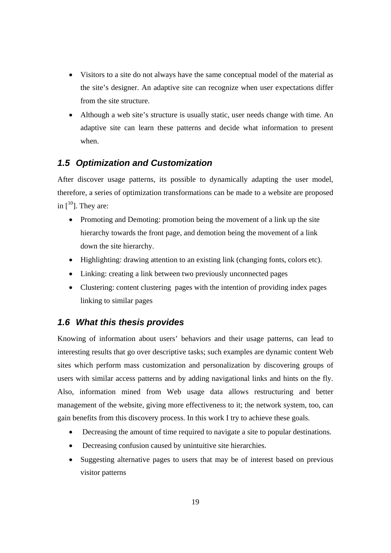- Visitors to a site do not always have the same conceptual model of the material as the site's designer. An adaptive site can recognize when user expectations differ from the site structure.
- Although a web site's structure is usually static, user needs change with time. An adaptive site can learn these patterns and decide what information to present when.

### *1.5 Optimization and Customization*

After discover usage patterns, its possible to dynamically adapting the user model, therefore, a series of optimization transformations can be made to a website are proposed in  $[10]$ . They are:

- Promoting and Demoting: promotion being the movement of a link up the site hierarchy towards the front page, and demotion being the movement of a link down the site hierarchy.
- Highlighting: drawing attention to an existing link (changing fonts, colors etc).
- Linking: creating a link between two previously unconnected pages
- Clustering: content clustering pages with the intention of providing index pages linking to similar pages

#### *1.6 What this thesis provides*

Knowing of information about users' behaviors and their usage patterns, can lead to interesting results that go over descriptive tasks; such examples are dynamic content Web sites which perform mass customization and personalization by discovering groups of users with similar access patterns and by adding navigational links and hints on the fly. Also, information mined from Web usage data allows restructuring and better management of the website, giving more effectiveness to it; the network system, too, can gain benefits from this discovery process. In this work I try to achieve these goals.

- Decreasing the amount of time required to navigate a site to popular destinations.
- Decreasing confusion caused by unintuitive site hierarchies.
- Suggesting alternative pages to users that may be of interest based on previous visitor patterns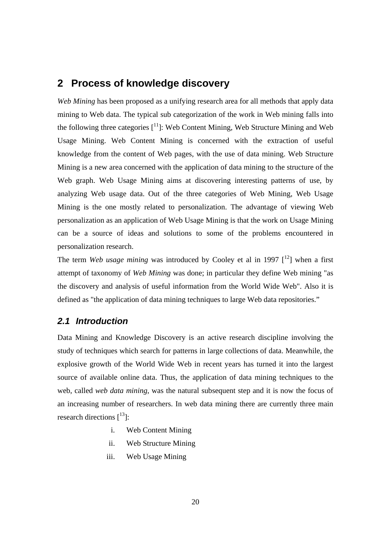# **2 Process of knowledge discovery**

*Web Mining* has been proposed as a unifying research area for all methods that apply data mining to Web data. The typical sub categorization of the work in Web mining falls into the following three categories  $[11]$ : Web Content Mining, Web Structure Mining and Web Usage Mining. Web Content Mining is concerned with the extraction of useful knowledge from the content of Web pages, with the use of data mining. Web Structure Mining is a new area concerned with the application of data mining to the structure of the Web graph. Web Usage Mining aims at discovering interesting patterns of use, by analyzing Web usage data. Out of the three categories of Web Mining, Web Usage Mining is the one mostly related to personalization. The advantage of viewing Web personalization as an application of Web Usage Mining is that the work on Usage Mining can be a source of ideas and solutions to some of the problems encountered in personalization research.

The term *Web usage mining* was introduced by Cooley et al in 1997  $\int_1^{12}$  when a first attempt of taxonomy of *Web Mining* was done; in particular they define Web mining "as the discovery and analysis of useful information from the World Wide Web". Also it is defined as "the application of data mining techniques to large Web data repositories."

## *2.1 Introduction*

Data Mining and Knowledge Discovery is an active research discipline involving the study of techniques which search for patterns in large collections of data. Meanwhile, the explosive growth of the World Wide Web in recent years has turned it into the largest source of available online data. Thus, the application of data mining techniques to the web, called *web data mining*, was the natural subsequent step and it is now the focus of an increasing number of researchers. In web data mining there are currently three main research directions  $[13]$ :

- i. Web Content Mining
- ii. Web Structure Mining
- iii. Web Usage Mining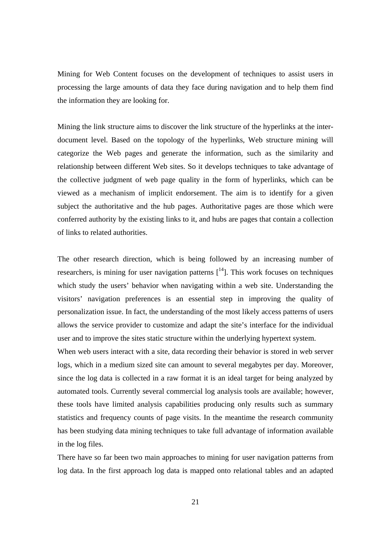Mining for Web Content focuses on the development of techniques to assist users in processing the large amounts of data they face during navigation and to help them find the information they are looking for.

Mining the link structure aims to discover the link structure of the hyperlinks at the interdocument level. Based on the topology of the hyperlinks, Web structure mining will categorize the Web pages and generate the information, such as the similarity and relationship between different Web sites. So it develops techniques to take advantage of the collective judgment of web page quality in the form of hyperlinks, which can be viewed as a mechanism of implicit endorsement. The aim is to identify for a given subject the authoritative and the hub pages. Authoritative pages are those which were conferred authority by the existing links to it, and hubs are pages that contain a collection of links to related authorities.

The other research direction, which is being followed by an increasing number of researchers, is mining for user navigation patterns  $[14]$ . This work focuses on techniques which study the users' behavior when navigating within a web site. Understanding the visitors' navigation preferences is an essential step in improving the quality of personalization issue. In fact, the understanding of the most likely access patterns of users allows the service provider to customize and adapt the site's interface for the individual user and to improve the sites static structure within the underlying hypertext system.

When web users interact with a site, data recording their behavior is stored in web server logs, which in a medium sized site can amount to several megabytes per day. Moreover, since the log data is collected in a raw format it is an ideal target for being analyzed by automated tools. Currently several commercial log analysis tools are available; however, these tools have limited analysis capabilities producing only results such as summary statistics and frequency counts of page visits. In the meantime the research community has been studying data mining techniques to take full advantage of information available in the log files.

There have so far been two main approaches to mining for user navigation patterns from log data. In the first approach log data is mapped onto relational tables and an adapted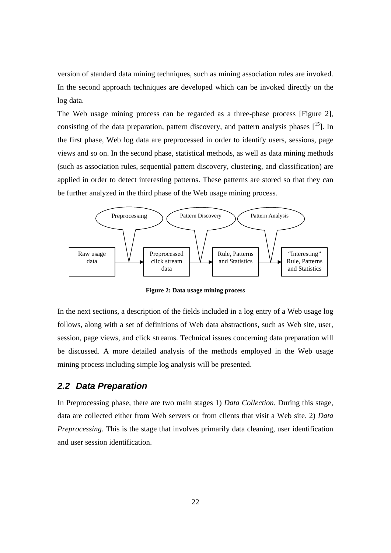version of standard data mining techniques, such as mining association rules are invoked. In the second approach techniques are developed which can be invoked directly on the log data.

The Web usage mining process can be regarded as a three-phase process [Figure 2], consisting of the data preparation, pattern discovery, and pattern analysis phases  $[15]$ . In the first phase, Web log data are preprocessed in order to identify users, sessions, page views and so on. In the second phase, statistical methods, as well as data mining methods (such as association rules, sequential pattern discovery, clustering, and classification) are applied in order to detect interesting patterns. These patterns are stored so that they can be further analyzed in the third phase of the Web usage mining process.



**Figure 2: Data usage mining process** 

In the next sections, a description of the fields included in a log entry of a Web usage log follows, along with a set of definitions of Web data abstractions, such as Web site, user, session, page views, and click streams. Technical issues concerning data preparation will be discussed. A more detailed analysis of the methods employed in the Web usage mining process including simple log analysis will be presented.

#### *2.2 Data Preparation*

In Preprocessing phase, there are two main stages 1) *Data Collection*. During this stage, data are collected either from Web servers or from clients that visit a Web site. 2) *Data Preprocessing*. This is the stage that involves primarily data cleaning, user identification and user session identification.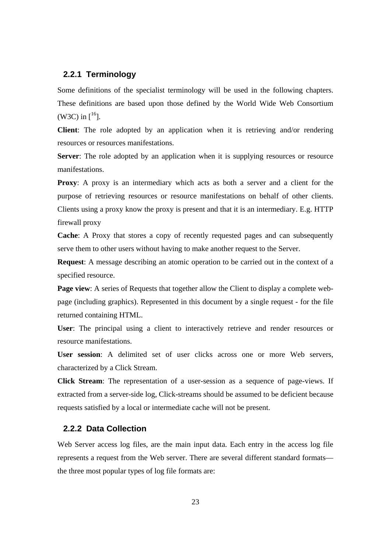#### **2.2.1 Terminology**

Some definitions of the specialist terminology will be used in the following chapters. These definitions are based upon those defined by the World Wide Web Consortium (W3C) in  $[$ <sup>16</sup>].

**Client**: The role adopted by an application when it is retrieving and/or rendering resources or resources manifestations.

**Server**: The role adopted by an application when it is supplying resources or resource manifestations.

**Proxy**: A proxy is an intermediary which acts as both a server and a client for the purpose of retrieving resources or resource manifestations on behalf of other clients. Clients using a proxy know the proxy is present and that it is an intermediary. E.g. HTTP firewall proxy

**Cache**: A Proxy that stores a copy of recently requested pages and can subsequently serve them to other users without having to make another request to the Server.

**Request**: A message describing an atomic operation to be carried out in the context of a specified resource.

**Page view**: A series of Requests that together allow the Client to display a complete webpage (including graphics). Represented in this document by a single request - for the file returned containing HTML.

**User**: The principal using a client to interactively retrieve and render resources or resource manifestations.

**User session**: A delimited set of user clicks across one or more Web servers, characterized by a Click Stream.

**Click Stream**: The representation of a user-session as a sequence of page-views. If extracted from a server-side log, Click-streams should be assumed to be deficient because requests satisfied by a local or intermediate cache will not be present.

#### **2.2.2 Data Collection**

Web Server access log files, are the main input data. Each entry in the access log file represents a request from the Web server. There are several different standard formats the three most popular types of log file formats are: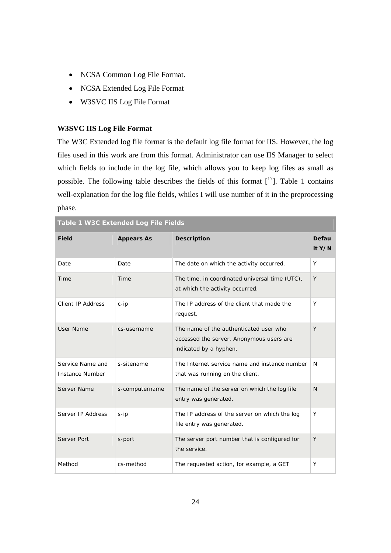- NCSA Common Log File Format.
- NCSA Extended Log File Format
- W3SVC IIS Log File Format

#### **W3SVC IIS Log File Format**

**Table 1 W3C Extended Log File Fields** 

The W3C Extended log file format is the default log file format for IIS. However, the log files used in this work are from this format. Administrator can use IIS Manager to select which fields to include in the log file, which allows you to keep log files as small as possible. The following table describes the fields of this format  $[17]$ . Table 1 contains well-explanation for the log file fields, whiles I will use number of it in the preprocessing phase.

| Table T W3C Extended Log File Fields       |                   |                                                                                                              |                 |  |  |
|--------------------------------------------|-------------------|--------------------------------------------------------------------------------------------------------------|-----------------|--|--|
| <b>Field</b>                               | <b>Appears As</b> | <b>Description</b>                                                                                           | Defau<br>It Y/N |  |  |
| Date                                       | Date              | The date on which the activity occurred.                                                                     | Y               |  |  |
| Time                                       | Time              | The time, in coordinated universal time (UTC),<br>at which the activity occurred.                            | Y               |  |  |
| Client IP Address                          | $c$ -ip           | The IP address of the client that made the<br>request.                                                       | Y               |  |  |
| User Name                                  | cs-username       | The name of the authenticated user who<br>accessed the server. Anonymous users are<br>indicated by a hyphen. | Y               |  |  |
| Service Name and<br><b>Instance Number</b> | s-sitename        | The Internet service name and instance number<br>that was running on the client.                             | N               |  |  |
| Server Name                                | s-computername    | The name of the server on which the log file<br>entry was generated.                                         | N.              |  |  |
| Server IP Address                          | $s$ -ip           | The IP address of the server on which the log<br>file entry was generated.                                   | Y               |  |  |
| Server Port                                | s-port            | The server port number that is configured for<br>the service.                                                | Y               |  |  |
| Method                                     | cs-method         | The requested action, for example, a GET                                                                     | Υ               |  |  |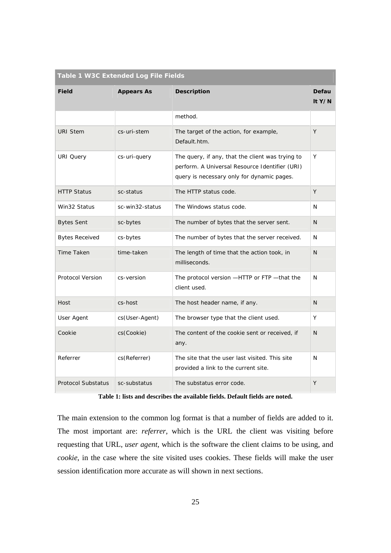| Table 1 W3C Extended Log File Fields |                   |                                                                                                                                                  |                 |  |  |
|--------------------------------------|-------------------|--------------------------------------------------------------------------------------------------------------------------------------------------|-----------------|--|--|
| <b>Field</b>                         | <b>Appears As</b> | <b>Description</b>                                                                                                                               | Defau<br>It Y/N |  |  |
|                                      |                   | method.                                                                                                                                          |                 |  |  |
| <b>URI Stem</b>                      | cs-uri-stem       | The target of the action, for example,<br>Default.htm.                                                                                           | Y               |  |  |
| <b>URI Query</b>                     | cs-uri-query      | The query, if any, that the client was trying to<br>perform. A Universal Resource Identifier (URI)<br>query is necessary only for dynamic pages. | Y               |  |  |
| <b>HTTP Status</b>                   | sc-status         | The HTTP status code.                                                                                                                            | Y               |  |  |
| Win32 Status                         | sc-win32-status   | The Windows status code.                                                                                                                         | N               |  |  |
| <b>Bytes Sent</b>                    | sc-bytes          | The number of bytes that the server sent.                                                                                                        | N               |  |  |
| <b>Bytes Received</b>                | cs-bytes          | The number of bytes that the server received.                                                                                                    | N               |  |  |
| <b>Time Taken</b>                    | time-taken        | The length of time that the action took, in<br>milliseconds.                                                                                     | N               |  |  |
| <b>Protocol Version</b>              | cs-version        | The protocol version -HTTP or FTP - that the<br>client used.                                                                                     | N               |  |  |
| Host                                 | cs-host           | The host header name, if any.                                                                                                                    | N               |  |  |
| User Agent                           | cs(User-Agent)    | The browser type that the client used.                                                                                                           | Y               |  |  |
| Cookie                               | cs(Cookie)        | The content of the cookie sent or received, if<br>any.                                                                                           | N               |  |  |
| Referrer                             | cs(Referrer)      | The site that the user last visited. This site<br>provided a link to the current site.                                                           | N               |  |  |
| <b>Protocol Substatus</b>            | sc-substatus      | The substatus error code.                                                                                                                        | Y               |  |  |

**Table 1: lists and describes the available fields. Default fields are noted.** 

The main extension to the common log format is that a number of fields are added to it. The most important are: *referrer*, which is the URL the client was visiting before requesting that URL, *user agent*, which is the software the client claims to be using, and *cookie*, in the case where the site visited uses cookies. These fields will make the user session identification more accurate as will shown in next sections.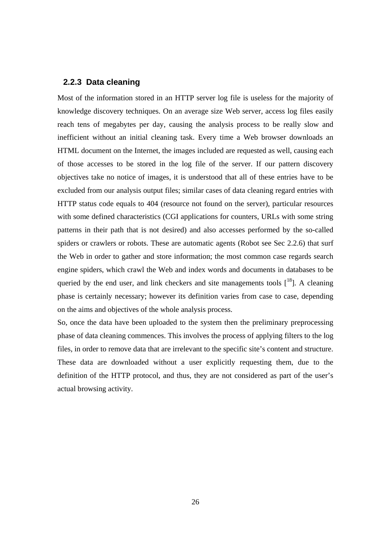#### **2.2.3 Data cleaning**

Most of the information stored in an HTTP server log file is useless for the majority of knowledge discovery techniques. On an average size Web server, access log files easily reach tens of megabytes per day, causing the analysis process to be really slow and inefficient without an initial cleaning task. Every time a Web browser downloads an HTML document on the Internet, the images included are requested as well, causing each of those accesses to be stored in the log file of the server. If our pattern discovery objectives take no notice of images, it is understood that all of these entries have to be excluded from our analysis output files; similar cases of data cleaning regard entries with HTTP status code equals to 404 (resource not found on the server), particular resources with some defined characteristics (CGI applications for counters, URLs with some string patterns in their path that is not desired) and also accesses performed by the so-called spiders or crawlers or robots. These are automatic agents (Robot see Sec 2.2.6) that surf the Web in order to gather and store information; the most common case regards search engine spiders, which crawl the Web and index words and documents in databases to be queried by the end user, and link checkers and site managements tools  $[18]$ . A cleaning phase is certainly necessary; however its definition varies from case to case, depending on the aims and objectives of the whole analysis process.

So, once the data have been uploaded to the system then the preliminary preprocessing phase of data cleaning commences. This involves the process of applying filters to the log files, in order to remove data that are irrelevant to the specific site's content and structure. These data are downloaded without a user explicitly requesting them, due to the definition of the HTTP protocol, and thus, they are not considered as part of the user's actual browsing activity.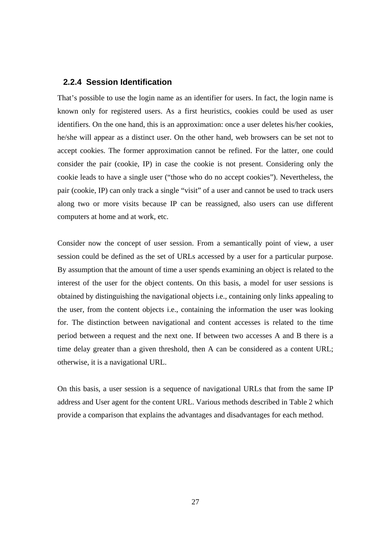#### **2.2.4 Session Identification**

That's possible to use the login name as an identifier for users. In fact, the login name is known only for registered users. As a first heuristics, cookies could be used as user identifiers. On the one hand, this is an approximation: once a user deletes his/her cookies, he/she will appear as a distinct user. On the other hand, web browsers can be set not to accept cookies. The former approximation cannot be refined. For the latter, one could consider the pair (cookie, IP) in case the cookie is not present. Considering only the cookie leads to have a single user ("those who do no accept cookies"). Nevertheless, the pair (cookie, IP) can only track a single "visit" of a user and cannot be used to track users along two or more visits because IP can be reassigned, also users can use different computers at home and at work, etc.

Consider now the concept of user session. From a semantically point of view, a user session could be defined as the set of URLs accessed by a user for a particular purpose. By assumption that the amount of time a user spends examining an object is related to the interest of the user for the object contents. On this basis, a model for user sessions is obtained by distinguishing the navigational objects i.e., containing only links appealing to the user, from the content objects i.e., containing the information the user was looking for. The distinction between navigational and content accesses is related to the time period between a request and the next one. If between two accesses A and B there is a time delay greater than a given threshold, then A can be considered as a content URL; otherwise, it is a navigational URL.

On this basis, a user session is a sequence of navigational URLs that from the same IP address and User agent for the content URL. Various methods described in Table 2 which provide a comparison that explains the advantages and disadvantages for each method.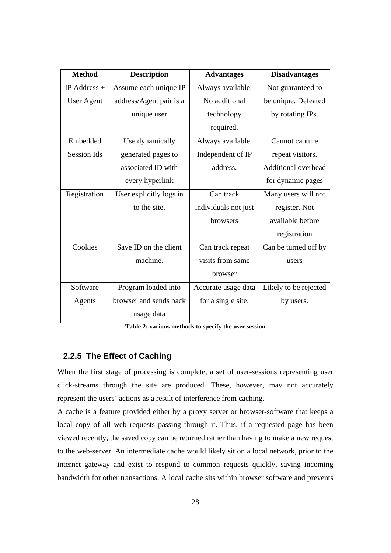| <b>Method</b>      | <b>Description</b>      | <b>Advantages</b>    | <b>Disadvantages</b>       |
|--------------------|-------------------------|----------------------|----------------------------|
| IP Address $+$     | Assume each unique IP   | Always available.    | Not guaranteed to          |
| User Agent         | address/Agent pair is a | No additional        | be unique. Defeated        |
|                    | unique user             | technology           | by rotating IPs.           |
|                    |                         | required.            |                            |
| Embedded           | Use dynamically         | Always available.    | Cannot capture             |
| <b>Session Ids</b> | generated pages to      | Independent of IP    | repeat visitors.           |
|                    | associated ID with      | address.             | <b>Additional overhead</b> |
|                    | every hyperlink         |                      | for dynamic pages          |
| Registration       | User explicitly logs in | Can track            | Many users will not        |
|                    | to the site.            | individuals not just | register. Not              |
|                    |                         | browsers             | available before           |
|                    |                         |                      | registration               |
| Cookies            | Save ID on the client   | Can track repeat     | Can be turned off by       |
|                    | machine.                | visits from same     | users                      |
|                    |                         | browser              |                            |
| Software           | Program loaded into     | Accurate usage data  | Likely to be rejected      |
| Agents             | browser and sends back  | for a single site.   | by users.                  |
|                    | usage data              |                      |                            |

**Table 2: various methods to specify the user session** 

## **2.2.5 The Effect of Caching**

When the first stage of processing is complete, a set of user-sessions representing user click-streams through the site are produced. These, however, may not accurately represent the users' actions as a result of interference from caching.

A cache is a feature provided either by a proxy server or browser-software that keeps a local copy of all web requests passing through it. Thus, if a requested page has been viewed recently, the saved copy can be returned rather than having to make a new request to the web-server. An intermediate cache would likely sit on a local network, prior to the internet gateway and exist to respond to common requests quickly, saving incoming bandwidth for other transactions. A local cache sits within browser software and prevents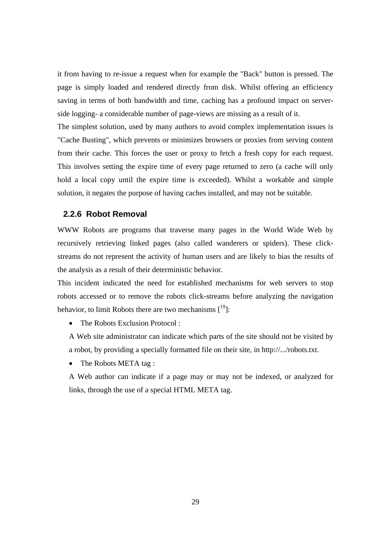it from having to re-issue a request when for example the "Back" button is pressed. The page is simply loaded and rendered directly from disk. Whilst offering an efficiency saving in terms of both bandwidth and time, caching has a profound impact on serverside logging- a considerable number of page-views are missing as a result of it.

The simplest solution, used by many authors to avoid complex implementation issues is "Cache Busting", which prevents or minimizes browsers or proxies from serving content from their cache. This forces the user or proxy to fetch a fresh copy for each request. This involves setting the expire time of every page returned to zero (a cache will only hold a local copy until the expire time is exceeded). Whilst a workable and simple solution, it negates the purpose of having caches installed, and may not be suitable.

#### **2.2.6 Robot Removal**

WWW Robots are programs that traverse many pages in the World Wide Web by recursively retrieving linked pages (also called wanderers or spiders). These clickstreams do not represent the activity of human users and are likely to bias the results of the analysis as a result of their deterministic behavior.

This incident indicated the need for established mechanisms for web servers to stop robots accessed or to remove the robots click-streams before analyzing the navigation behavior, to limit Robots there are two mechanisms  $[19]$ :

• The Robots Exclusion Protocol ·

A Web site administrator can indicate which parts of the site should not be visited by a robot, by providing a specially formatted file on their site, in http://.../robots.txt.

• The Robots META tag:

A Web author can indicate if a page may or may not be indexed, or analyzed for links, through the use of a special HTML META tag.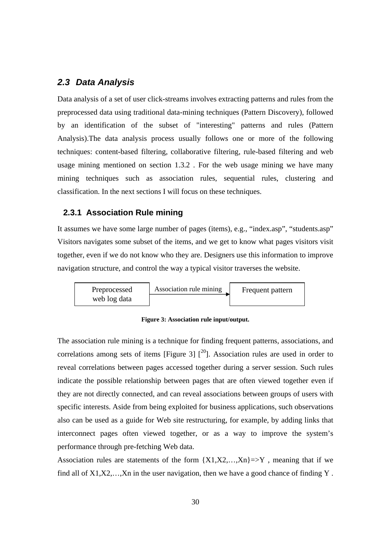## *2.3 Data Analysis*

Data analysis of a set of user click-streams involves extracting patterns and rules from the preprocessed data using traditional data-mining techniques (Pattern Discovery), followed by an identification of the subset of "interesting" patterns and rules (Pattern Analysis).The data analysis process usually follows one or more of the following techniques: content-based filtering, collaborative filtering, rule-based filtering and web usage mining mentioned on section 1.3.2 . For the web usage mining we have many mining techniques such as association rules, sequential rules, clustering and classification. In the next sections I will focus on these techniques.

#### **2.3.1 Association Rule mining**

It assumes we have some large number of pages (items), e.g., "index.asp", "students.asp" Visitors navigates some subset of the items, and we get to know what pages visitors visit together, even if we do not know who they are. Designers use this information to improve navigation structure, and control the way a typical visitor traverses the website.



**Figure 3: Association rule input/output.** 

The association rule mining is a technique for finding frequent patterns, associations, and correlations among sets of items [Figure 3]  $\int_{0}^{20}$ ]. Association rules are used in order to reveal correlations between pages accessed together during a server session. Such rules indicate the possible relationship between pages that are often viewed together even if they are not directly connected, and can reveal associations between groups of users with specific interests. Aside from being exploited for business applications, such observations also can be used as a guide for Web site restructuring, for example, by adding links that interconnect pages often viewed together, or as a way to improve the system's performance through pre-fetching Web data.

Association rules are statements of the form  ${X1, X2, ..., Xn}$  =>Y, meaning that if we find all of X1,X2,…,Xn in the user navigation, then we have a good chance of finding Y .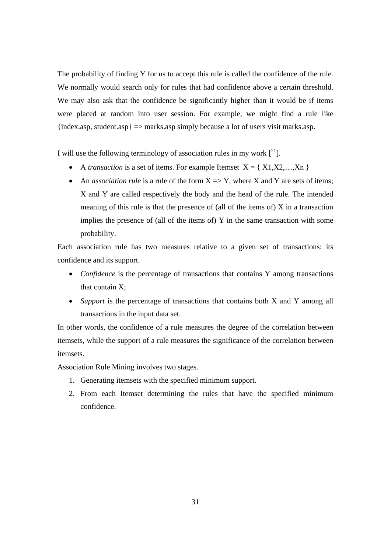The probability of finding Y for us to accept this rule is called the confidence of the rule. We normally would search only for rules that had confidence above a certain threshold. We may also ask that the confidence be significantly higher than it would be if items were placed at random into user session. For example, we might find a rule like  ${\text{index}.\text{asp},\text{student}.\text{asp}} \Rightarrow$  marks.asp simply because a lot of users visit marks.asp.

I will use the following terminology of association rules in my work  $\mathfrak{[}^{21}$ .

- A *transaction* is a set of items. For example Itemset  $X = \{ X1, X2, \ldots, Xn \}$
- An *association rule* is a rule of the form  $X \Rightarrow Y$ , where X and Y are sets of items; X and Y are called respectively the body and the head of the rule. The intended meaning of this rule is that the presence of (all of the items of) X in a transaction implies the presence of (all of the items of) Y in the same transaction with some probability.

Each association rule has two measures relative to a given set of transactions: its confidence and its support.

- *Confidence* is the percentage of transactions that contains Y among transactions that contain X;
- *Support* is the percentage of transactions that contains both X and Y among all transactions in the input data set.

In other words, the confidence of a rule measures the degree of the correlation between itemsets, while the support of a rule measures the significance of the correlation between itemsets.

Association Rule Mining involves two stages.

- 1. Generating itemsets with the specified minimum support.
- 2. From each Itemset determining the rules that have the specified minimum confidence.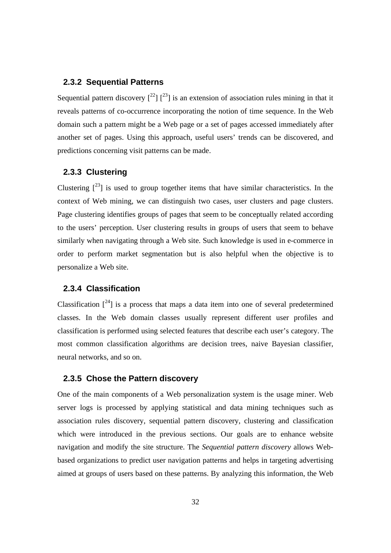#### **2.3.2 Sequential Patterns**

Sequential pattern discovery  $\int_{0}^{22}$   $\int_{0}^{23}$  is an extension of association rules mining in that it reveals patterns of co-occurrence incorporating the notion of time sequence. In the Web domain such a pattern might be a Web page or a set of pages accessed immediately after another set of pages. Using this approach, useful users' trends can be discovered, and predictions concerning visit patterns can be made.

#### **2.3.3 Clustering**

Clustering  $\lceil^{23} \rceil$  is used to group together items that have similar characteristics. In the context of Web mining, we can distinguish two cases, user clusters and page clusters. Page clustering identifies groups of pages that seem to be conceptually related according to the users' perception. User clustering results in groups of users that seem to behave similarly when navigating through a Web site. Such knowledge is used in e-commerce in order to perform market segmentation but is also helpful when the objective is to personalize a Web site.

#### **2.3.4 Classification**

Classification  $\lceil^{24}\rceil$  is a process that maps a data item into one of several predetermined classes. In the Web domain classes usually represent different user profiles and classification is performed using selected features that describe each user's category. The most common classification algorithms are decision trees, naive Bayesian classifier, neural networks, and so on.

#### **2.3.5 Chose the Pattern discovery**

One of the main components of a Web personalization system is the usage miner. Web server logs is processed by applying statistical and data mining techniques such as association rules discovery, sequential pattern discovery, clustering and classification which were introduced in the previous sections. Our goals are to enhance website navigation and modify the site structure. The *Sequential pattern discovery* allows Webbased organizations to predict user navigation patterns and helps in targeting advertising aimed at groups of users based on these patterns. By analyzing this information, the Web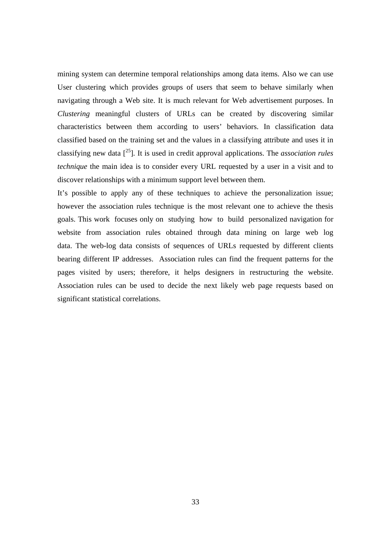mining system can determine temporal relationships among data items. Also we can use User clustering which provides groups of users that seem to behave similarly when navigating through a Web site. It is much relevant for Web advertisement purposes. In *Clustering* meaningful clusters of URLs can be created by discovering similar characteristics between them according to users' behaviors. In classification data classified based on the training set and the values in a classifying attribute and uses it in classifying new data [25]. It is used in credit approval applications. The *association rules technique* the main idea is to consider every URL requested by a user in a visit and to discover relationships with a minimum support level between them.

It's possible to apply any of these techniques to achieve the personalization issue; however the association rules technique is the most relevant one to achieve the thesis goals. This work focuses only on studying how to build personalized navigation for website from association rules obtained through data mining on large web log data. The web-log data consists of sequences of URLs requested by different clients bearing different IP addresses. Association rules can find the frequent patterns for the pages visited by users; therefore, it helps designers in restructuring the website. Association rules can be used to decide the next likely web page requests based on significant statistical correlations.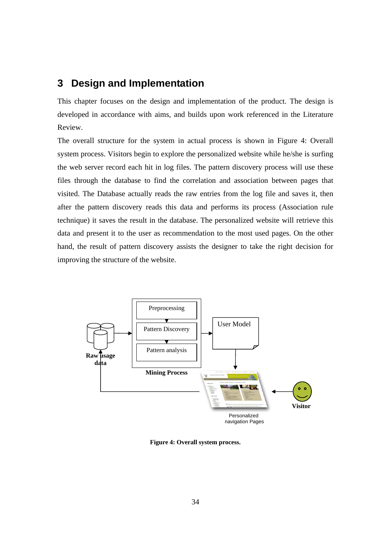# **3 Design and Implementation**

This chapter focuses on the design and implementation of the product. The design is developed in accordance with aims, and builds upon work referenced in the Literature Review.

The overall structure for the system in actual process is shown in Figure 4: Overall system process. Visitors begin to explore the personalized website while he/she is surfing the web server record each hit in log files. The pattern discovery process will use these files through the database to find the correlation and association between pages that visited. The Database actually reads the raw entries from the log file and saves it, then after the pattern discovery reads this data and performs its process (Association rule technique) it saves the result in the database. The personalized website will retrieve this data and present it to the user as recommendation to the most used pages. On the other hand, the result of pattern discovery assists the designer to take the right decision for improving the structure of the website.



**Figure 4: Overall system process.**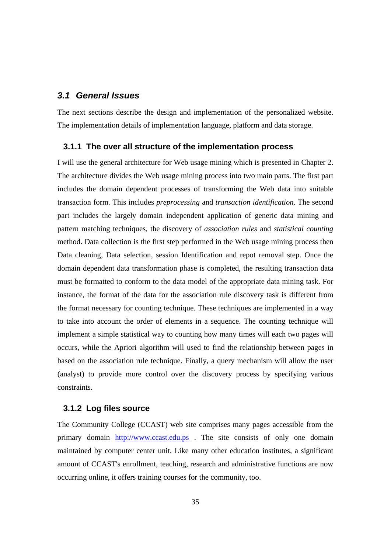#### *3.1 General Issues*

The next sections describe the design and implementation of the personalized website. The implementation details of implementation language, platform and data storage.

#### **3.1.1 The over all structure of the implementation process**

I will use the general architecture for Web usage mining which is presented in Chapter 2. The architecture divides the Web usage mining process into two main parts. The first part includes the domain dependent processes of transforming the Web data into suitable transaction form. This includes *preprocessing* and *transaction identification*. The second part includes the largely domain independent application of generic data mining and pattern matching techniques, the discovery of *association rules* and *statistical counting* method. Data collection is the first step performed in the Web usage mining process then Data cleaning, Data selection, session Identification and repot removal step. Once the domain dependent data transformation phase is completed, the resulting transaction data must be formatted to conform to the data model of the appropriate data mining task. For instance, the format of the data for the association rule discovery task is different from the format necessary for counting technique. These techniques are implemented in a way to take into account the order of elements in a sequence. The counting technique will implement a simple statistical way to counting how many times will each two pages will occurs, while the Apriori algorithm will used to find the relationship between pages in based on the association rule technique. Finally, a query mechanism will allow the user (analyst) to provide more control over the discovery process by specifying various constraints.

#### **3.1.2 Log files source**

The Community College (CCAST) web site comprises many pages accessible from the primary domain http://www.ccast.edu.ps . The site consists of only one domain maintained by computer center unit. Like many other education institutes, a significant amount of CCAST's enrollment, teaching, research and administrative functions are now occurring online, it offers training courses for the community, too.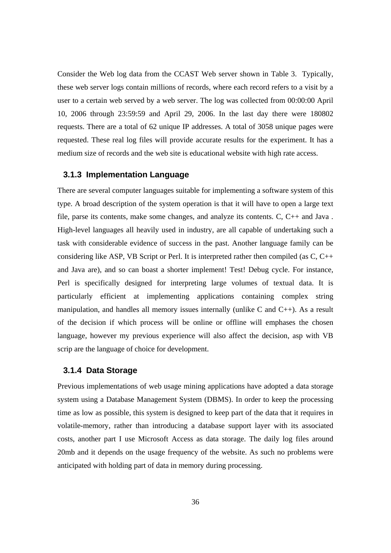Consider the Web log data from the CCAST Web server shown in Table 3. Typically, these web server logs contain millions of records, where each record refers to a visit by a user to a certain web served by a web server. The log was collected from 00:00:00 April 10, 2006 through 23:59:59 and April 29, 2006. In the last day there were 180802 requests. There are a total of 62 unique IP addresses. A total of 3058 unique pages were requested. These real log files will provide accurate results for the experiment. It has a medium size of records and the web site is educational website with high rate access.

#### **3.1.3 Implementation Language**

There are several computer languages suitable for implementing a software system of this type. A broad description of the system operation is that it will have to open a large text file, parse its contents, make some changes, and analyze its contents. C, C++ and Java . High-level languages all heavily used in industry, are all capable of undertaking such a task with considerable evidence of success in the past. Another language family can be considering like ASP, VB Script or Perl. It is interpreted rather then compiled (as C, C++ and Java are), and so can boast a shorter implement! Test! Debug cycle. For instance, Perl is specifically designed for interpreting large volumes of textual data. It is particularly efficient at implementing applications containing complex string manipulation, and handles all memory issues internally (unlike C and  $C_{++}$ ). As a result of the decision if which process will be online or offline will emphases the chosen language, however my previous experience will also affect the decision, asp with VB scrip are the language of choice for development.

#### **3.1.4 Data Storage**

Previous implementations of web usage mining applications have adopted a data storage system using a Database Management System (DBMS). In order to keep the processing time as low as possible, this system is designed to keep part of the data that it requires in volatile-memory, rather than introducing a database support layer with its associated costs, another part I use Microsoft Access as data storage. The daily log files around 20mb and it depends on the usage frequency of the website. As such no problems were anticipated with holding part of data in memory during processing.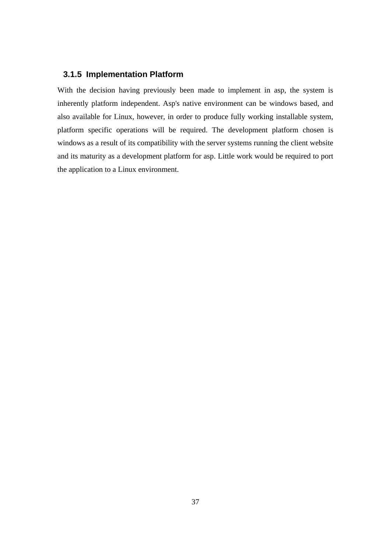#### **3.1.5 Implementation Platform**

With the decision having previously been made to implement in asp, the system is inherently platform independent. Asp's native environment can be windows based, and also available for Linux, however, in order to produce fully working installable system, platform specific operations will be required. The development platform chosen is windows as a result of its compatibility with the server systems running the client website and its maturity as a development platform for asp. Little work would be required to port the application to a Linux environment.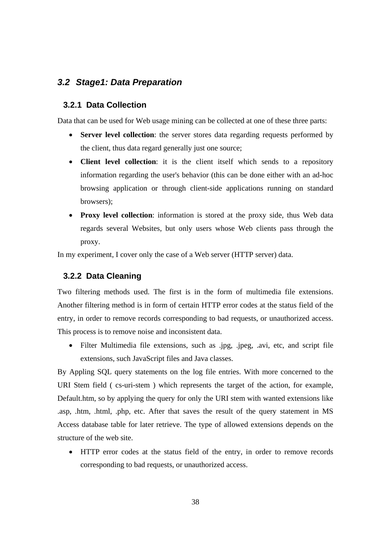#### *3.2 Stage1: Data Preparation*

#### **3.2.1 Data Collection**

Data that can be used for Web usage mining can be collected at one of these three parts:

- **Server level collection**: the server stores data regarding requests performed by the client, thus data regard generally just one source;
- **Client level collection**: it is the client itself which sends to a repository information regarding the user's behavior (this can be done either with an ad-hoc browsing application or through client-side applications running on standard browsers);
- **Proxy level collection**: information is stored at the proxy side, thus Web data regards several Websites, but only users whose Web clients pass through the proxy.

In my experiment, I cover only the case of a Web server (HTTP server) data.

#### **3.2.2 Data Cleaning**

Two filtering methods used. The first is in the form of multimedia file extensions. Another filtering method is in form of certain HTTP error codes at the status field of the entry, in order to remove records corresponding to bad requests, or unauthorized access. This process is to remove noise and inconsistent data.

• Filter Multimedia file extensions, such as .jpg, .jpeg, .avi, etc, and script file extensions, such JavaScript files and Java classes.

By Appling SQL query statements on the log file entries. With more concerned to the URI Stem field ( cs-uri-stem ) which represents the target of the action, for example, Default.htm, so by applying the query for only the URI stem with wanted extensions like .asp, .htm, .html, .php, etc. After that saves the result of the query statement in MS Access database table for later retrieve. The type of allowed extensions depends on the structure of the web site.

• HTTP error codes at the status field of the entry, in order to remove records corresponding to bad requests, or unauthorized access.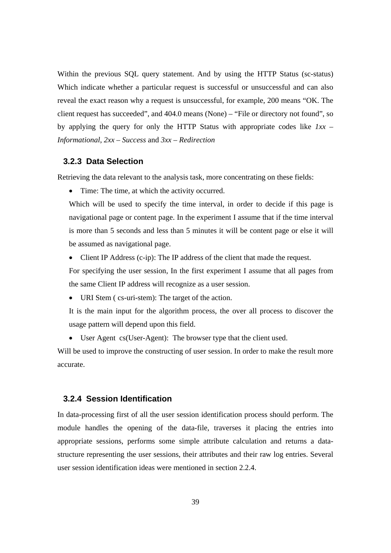Within the previous SQL query statement. And by using the HTTP Status (sc-status) Which indicate whether a particular request is successful or unsuccessful and can also reveal the exact reason why a request is unsuccessful, for example, 200 means "OK. The client request has succeeded", and 404.0 means (None) – "File or directory not found", so by applying the query for only the HTTP Status with appropriate codes like *1xx – Informational*, *2xx – Success* and *3xx – Redirection*

#### **3.2.3 Data Selection**

Retrieving the data relevant to the analysis task, more concentrating on these fields:

• Time: The time, at which the activity occurred.

Which will be used to specify the time interval, in order to decide if this page is navigational page or content page. In the experiment I assume that if the time interval is more than 5 seconds and less than 5 minutes it will be content page or else it will be assumed as navigational page.

• Client IP Address (c-ip): The IP address of the client that made the request.

For specifying the user session, In the first experiment I assume that all pages from the same Client IP address will recognize as a user session.

• URI Stem (cs-uri-stem): The target of the action.

It is the main input for the algorithm process, the over all process to discover the usage pattern will depend upon this field.

• User Agent cs(User-Agent): The browser type that the client used.

Will be used to improve the constructing of user session. In order to make the result more accurate.

#### **3.2.4 Session Identification**

In data-processing first of all the user session identification process should perform. The module handles the opening of the data-file, traverses it placing the entries into appropriate sessions, performs some simple attribute calculation and returns a datastructure representing the user sessions, their attributes and their raw log entries. Several user session identification ideas were mentioned in section 2.2.4.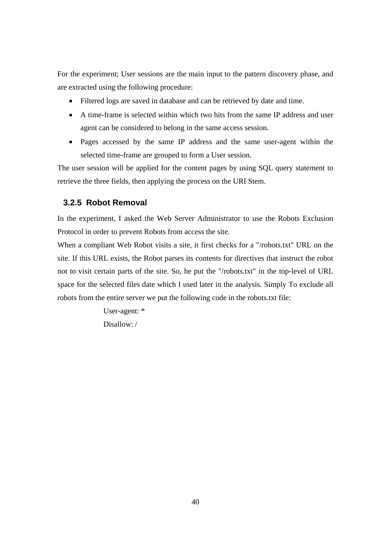For the experiment; User sessions are the main input to the pattern discovery phase, and are extracted using the following procedure:

- Filtered logs are saved in database and can be retrieved by date and time.
- A time-frame is selected within which two hits from the same IP address and user agent can be considered to belong in the same access session.
- Pages accessed by the same IP address and the same user-agent within the selected time-frame are grouped to form a User session.

The user session will be applied for the content pages by using SQL query statement to retrieve the three fields, then applying the process on the URI Stem.

#### **3.2.5 Robot Removal**

In the experiment, I asked the Web Server Administrator to use the Robots Exclusion Protocol in order to prevent Robots from access the site.

When a compliant Web Robot visits a site, it first checks for a "/robots.txt" URL on the site. If this URL exists, the Robot parses its contents for directives that instruct the robot not to visit certain parts of the site. So, he put the "/robots.txt" in the top-level of URL space for the selected files date which I used later in the analysis. Simply To exclude all robots from the entire server we put the following code in the robots.txt file:

> User-agent: \* Disallow: /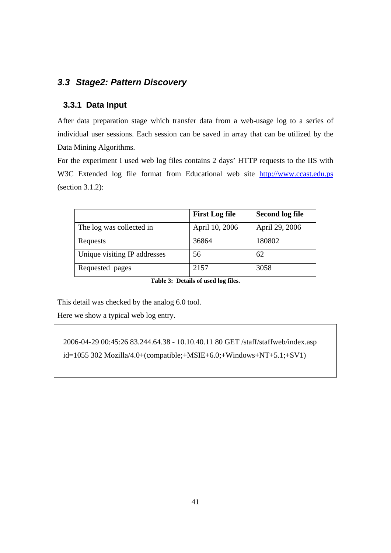# *3.3 Stage2: Pattern Discovery*

## **3.3.1 Data Input**

After data preparation stage which transfer data from a web-usage log to a series of individual user sessions. Each session can be saved in array that can be utilized by the Data Mining Algorithms.

For the experiment I used web log files contains 2 days' HTTP requests to the IIS with W3C Extended log file format from Educational web site http://www.ccast.edu.ps (section 3.1.2):

|                              | <b>First Log file</b> | <b>Second log file</b> |
|------------------------------|-----------------------|------------------------|
| The log was collected in     | April 10, 2006        | April 29, 2006         |
| Requests                     | 36864                 | 180802                 |
| Unique visiting IP addresses | 56                    | 62                     |
| Requested pages              | 2157                  | 3058                   |

**Table 3: Details of used log files.** 

This detail was checked by the analog 6.0 tool.

Here we show a typical web log entry.

2006-04-29 00:45:26 83.244.64.38 - 10.10.40.11 80 GET /staff/staffweb/index.asp id=1055 302 Mozilla/4.0+(compatible;+MSIE+6.0;+Windows+NT+5.1;+SV1)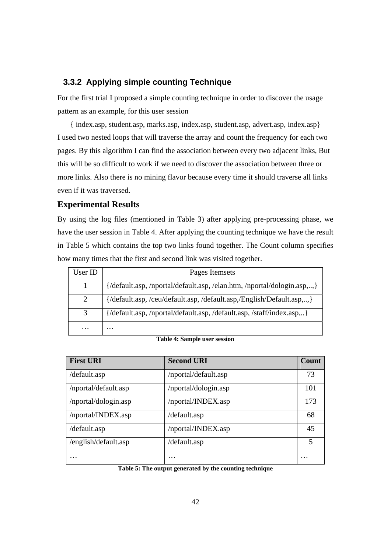#### **3.3.2 Applying simple counting Technique**

For the first trial I proposed a simple counting technique in order to discover the usage pattern as an example, for this user session

{ index.asp, student.asp, marks.asp, index.asp, student.asp, advert.asp, index.asp} I used two nested loops that will traverse the array and count the frequency for each two pages. By this algorithm I can find the association between every two adjacent links, But this will be so difficult to work if we need to discover the association between three or more links. Also there is no mining flavor because every time it should traverse all links even if it was traversed.

#### **Experimental Results**

By using the log files (mentioned in Table 3) after applying pre-processing phase, we have the user session in Table 4. After applying the counting technique we have the result in Table 5 which contains the top two links found together. The Count column specifies how many times that the first and second link was visited together.

| User ID   | Pages Itemsets                                                        |
|-----------|-----------------------------------------------------------------------|
|           | {/default.asp,/nportal/default.asp,/elan.htm,/nportal/dologin.asp,,}  |
| 2         | {/default.asp, /ceu/default.asp, /default.asp,/English/Default.asp,,} |
| 3         | {/default.asp, /nportal/default.asp, /default.asp, /staff/index.asp,} |
| $\ddotsc$ | .                                                                     |

#### **Table 4: Sample user session**

| <b>First URI</b>     | <b>Second URI</b>    | <b>Count</b>            |
|----------------------|----------------------|-------------------------|
| /default.asp         | /nportal/default.asp | 73                      |
| /nportal/default.asp | /nportal/dologin.asp | 101                     |
| /nportal/dologin.asp | /nportal/INDEX.asp   | 173                     |
| /nportal/INDEX.asp   | /default.asp         | 68                      |
| /default.asp         | /nportal/INDEX.asp   | 45                      |
| /english/default.asp | /default.asp         | $\overline{\mathbf{5}}$ |
| $\cdots$             | $\cdot\cdot\cdot$    | $\cdot\cdot\cdot$       |

**Table 5: The output generated by the counting technique**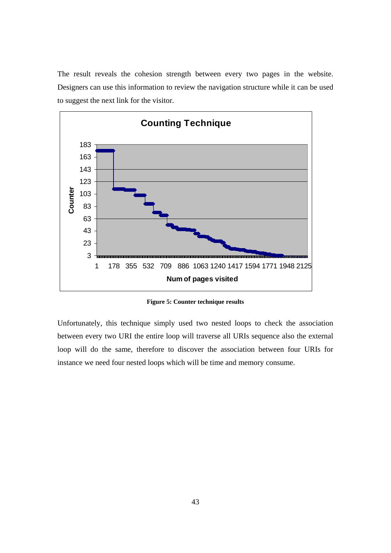The result reveals the cohesion strength between every two pages in the website. Designers can use this information to review the navigation structure while it can be used to suggest the next link for the visitor.



**Figure 5: Counter technique results** 

Unfortunately, this technique simply used two nested loops to check the association between every two URI the entire loop will traverse all URIs sequence also the external loop will do the same, therefore to discover the association between four URIs for instance we need four nested loops which will be time and memory consume.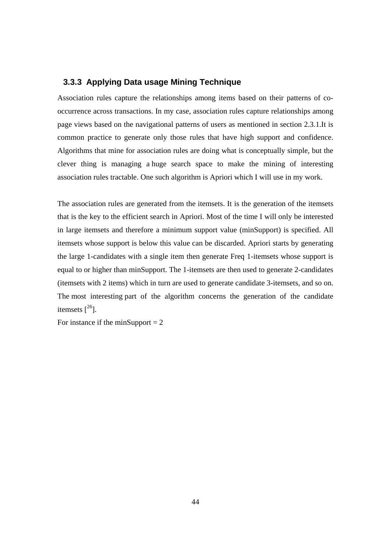#### **3.3.3 Applying Data usage Mining Technique**

Association rules capture the relationships among items based on their patterns of cooccurrence across transactions. In my case, association rules capture relationships among page views based on the navigational patterns of users as mentioned in section 2.3.1.It is common practice to generate only those rules that have high support and confidence. Algorithms that mine for association rules are doing what is conceptually simple, but the clever thing is managing a huge search space to make the mining of interesting association rules tractable. One such algorithm is Apriori which I will use in my work.

The association rules are generated from the itemsets. It is the generation of the itemsets that is the key to the efficient search in Apriori. Most of the time I will only be interested in large itemsets and therefore a minimum support value (minSupport) is specified. All itemsets whose support is below this value can be discarded. Apriori starts by generating the large 1-candidates with a single item then generate Freq 1-itemsets whose support is equal to or higher than minSupport. The 1-itemsets are then used to generate 2-candidates (itemsets with 2 items) which in turn are used to generate candidate 3-itemsets, and so on. The most interesting part of the algorithm concerns the generation of the candidate itemsets  $[{}^{26}$ ].

For instance if the minSupport  $= 2$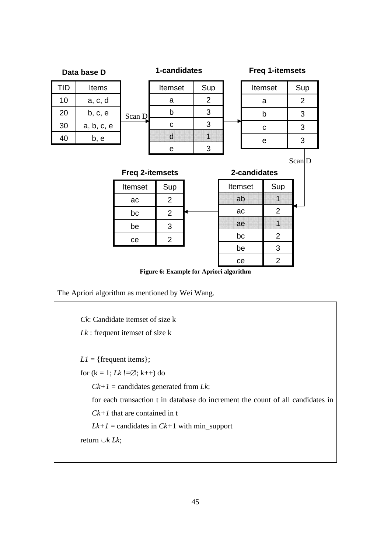

The Apriori algorithm as mentioned by Wei Wang.

*Ck*: Candidate itemset of size k *Lk* : frequent itemset of size k  $LI = {$  frequent items  $};$ for  $(k = 1; Lk! = \emptyset; k++)$  do  $Ck+1$  = candidates generated from *Lk*; for each transaction t in database do increment the count of all candidates in *Ck+1* that are contained in t  $Lk+1$  = candidates in  $Ck+1$  with min\_support return ∪*k Lk*;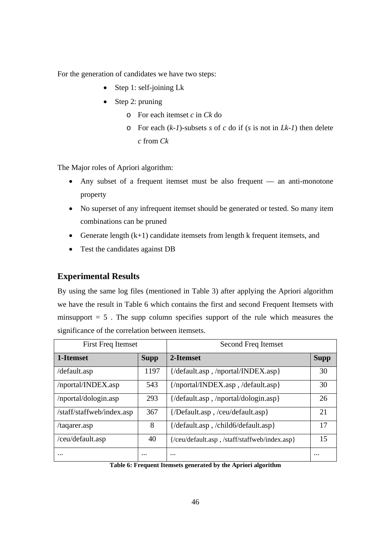For the generation of candidates we have two steps:

- Step 1: self-joining  $Lk$
- Step 2: pruning
	- o For each itemset *c* in *Ck* do
	- o For each (*k-1*)-subsets *s* of *c* do if (*s* is not in *Lk-1*) then delete *c* from *Ck*

The Major roles of Apriori algorithm:

- Any subset of a frequent itemset must be also frequent an anti-monotone property
- No superset of any infrequent itemset should be generated or tested. So many item combinations can be pruned
- Generate length  $(k+1)$  candidate itemsets from length k frequent itemsets, and
- Test the candidates against DB

#### **Experimental Results**

By using the same log files (mentioned in Table 3) after applying the Apriori algorithm we have the result in Table 6 which contains the first and second Frequent Itemsets with minsupport  $= 5$ . The supp column specifies support of the rule which measures the significance of the correlation between itemsets.

| <b>First Freq Itemset</b> |             | Second Freq Itemset                          |             |
|---------------------------|-------------|----------------------------------------------|-------------|
| 1-Itemset                 | <b>Supp</b> | 2-Itemset                                    | <b>Supp</b> |
| /default.asp              | 1197        | {/default.asp , /nportal/INDEX.asp}          | 30          |
| /nportal/INDEX.asp        | 543         | {/nportal/INDEX.asp,/default.asp}            | 30          |
| /nportal/dologin.asp      | 293         | {/default.asp,/nportal/dologin.asp}          | 26          |
| /staff/staffweb/index.asp | 367         | {/Default.asp,/ceu/default.asp}              | 21          |
| /taqarer.asp              | 8           | {/default.asp , /child6/default.asp}         | 17          |
| /ceu/default.asp          | 40          | {/ceu/default.asp,/staff/staffweb/index.asp} | 15          |
| $\cdots$                  | $\cdots$    | $\cdots$                                     | $\cdots$    |

**Table 6: Frequent Itemsets generated by the Apriori algorithm**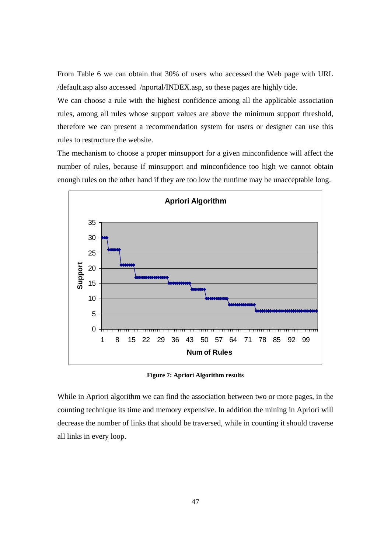From Table 6 we can obtain that 30% of users who accessed the Web page with URL /default.asp also accessed /nportal/INDEX.asp, so these pages are highly tide.

We can choose a rule with the highest confidence among all the applicable association rules, among all rules whose support values are above the minimum support threshold, therefore we can present a recommendation system for users or designer can use this rules to restructure the website.

The mechanism to choose a proper minsupport for a given minconfidence will affect the number of rules, because if minsupport and minconfidence too high we cannot obtain enough rules on the other hand if they are too low the runtime may be unacceptable long.



**Figure 7: Apriori Algorithm results** 

While in Apriori algorithm we can find the association between two or more pages, in the counting technique its time and memory expensive. In addition the mining in Apriori will decrease the number of links that should be traversed, while in counting it should traverse all links in every loop.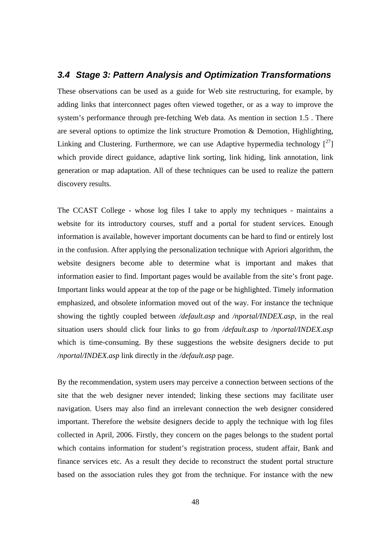#### *3.4 Stage 3: Pattern Analysis and Optimization Transformations*

These observations can be used as a guide for Web site restructuring, for example, by adding links that interconnect pages often viewed together, or as a way to improve the system's performance through pre-fetching Web data. As mention in section 1.5 . There are several options to optimize the link structure Promotion & Demotion, Highlighting, Linking and Clustering. Furthermore, we can use Adaptive hypermedia technology  $\binom{27}{1}$ which provide direct guidance, adaptive link sorting, link hiding, link annotation, link generation or map adaptation. All of these techniques can be used to realize the pattern discovery results.

The CCAST College - whose log files I take to apply my techniques - maintains a website for its introductory courses, stuff and a portal for student services. Enough information is available, however important documents can be hard to find or entirely lost in the confusion. After applying the personalization technique with Apriori algorithm, the website designers become able to determine what is important and makes that information easier to find. Important pages would be available from the site's front page. Important links would appear at the top of the page or be highlighted. Timely information emphasized, and obsolete information moved out of the way. For instance the technique showing the tightly coupled between */default.asp* and */nportal/INDEX.asp*, in the real situation users should click four links to go from */default.asp* to */nportal/INDEX.asp* which is time-consuming. By these suggestions the website designers decide to put */nportal/INDEX.asp* link directly in the */default.asp* page.

By the recommendation, system users may perceive a connection between sections of the site that the web designer never intended; linking these sections may facilitate user navigation. Users may also find an irrelevant connection the web designer considered important. Therefore the website designers decide to apply the technique with log files collected in April, 2006. Firstly, they concern on the pages belongs to the student portal which contains information for student's registration process, student affair, Bank and finance services etc. As a result they decide to reconstruct the student portal structure based on the association rules they got from the technique. For instance with the new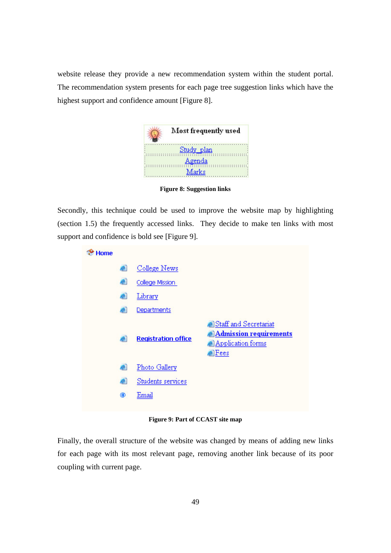website release they provide a new recommendation system within the student portal. The recommendation system presents for each page tree suggestion links which have the highest support and confidence amount [Figure 8].



**Figure 8: Suggestion links** 

Secondly, this technique could be used to improve the website map by highlighting (section 1.5) the frequently accessed links. They decide to make ten links with most support and confidence is bold see [Figure 9].



**Figure 9: Part of CCAST site map** 

Finally, the overall structure of the website was changed by means of adding new links for each page with its most relevant page, removing another link because of its poor coupling with current page.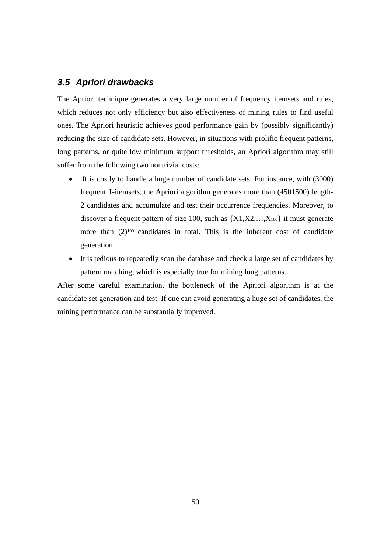### *3.5 Apriori drawbacks*

The Apriori technique generates a very large number of frequency itemsets and rules, which reduces not only efficiency but also effectiveness of mining rules to find useful ones. The Apriori heuristic achieves good performance gain by (possibly significantly) reducing the size of candidate sets. However, in situations with prolific frequent patterns, long patterns, or quite low minimum support thresholds, an Apriori algorithm may still suffer from the following two nontrivial costs:

- It is costly to handle a huge number of candidate sets. For instance, with (3000) frequent 1-itemsets, the Apriori algorithm generates more than (4501500) length-2 candidates and accumulate and test their occurrence frequencies. Moreover, to discover a frequent pattern of size 100, such as  ${X1, X2, \ldots, X_{100}}$  it must generate more than  $(2)^{100}$  candidates in total. This is the inherent cost of candidate generation.
- It is tedious to repeatedly scan the database and check a large set of candidates by pattern matching, which is especially true for mining long patterns.

After some careful examination, the bottleneck of the Apriori algorithm is at the candidate set generation and test. If one can avoid generating a huge set of candidates, the mining performance can be substantially improved.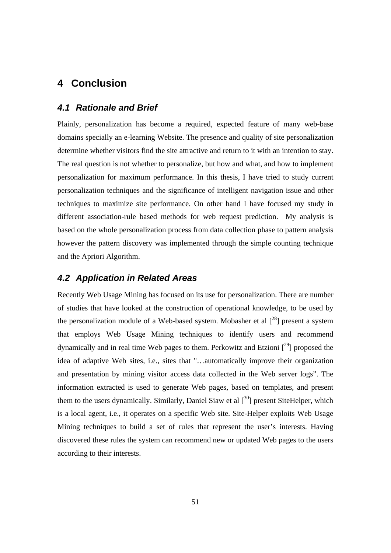# **4 Conclusion**

#### *4.1 Rationale and Brief*

Plainly, personalization has become a required, expected feature of many web-base domains specially an e-learning Website. The presence and quality of site personalization determine whether visitors find the site attractive and return to it with an intention to stay. The real question is not whether to personalize, but how and what, and how to implement personalization for maximum performance. In this thesis, I have tried to study current personalization techniques and the significance of intelligent navigation issue and other techniques to maximize site performance. On other hand I have focused my study in different association-rule based methods for web request prediction. My analysis is based on the whole personalization process from data collection phase to pattern analysis however the pattern discovery was implemented through the simple counting technique and the Apriori Algorithm.

#### *4.2 Application in Related Areas*

Recently Web Usage Mining has focused on its use for personalization. There are number of studies that have looked at the construction of operational knowledge, to be used by the personalization module of a Web-based system. Mobasher et al  $[28]$  present a system that employs Web Usage Mining techniques to identify users and recommend dynamically and in real time Web pages to them. Perkowitz and Etzioni  $[29]$  proposed the idea of adaptive Web sites, i.e., sites that "…automatically improve their organization and presentation by mining visitor access data collected in the Web server logs". The information extracted is used to generate Web pages, based on templates, and present them to the users dynamically. Similarly, Daniel Siaw et al  $\lceil 30 \rceil$  present SiteHelper, which is a local agent, i.e., it operates on a specific Web site. Site-Helper exploits Web Usage Mining techniques to build a set of rules that represent the user's interests. Having discovered these rules the system can recommend new or updated Web pages to the users according to their interests.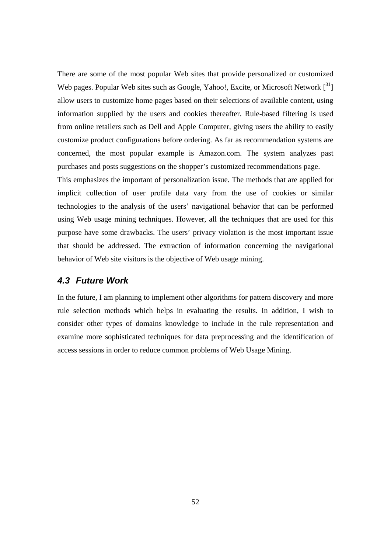There are some of the most popular Web sites that provide personalized or customized Web pages. Popular Web sites such as Google, Yahoo!, Excite, or Microsoft Network  $\lceil 3^3 \rceil$ allow users to customize home pages based on their selections of available content, using information supplied by the users and cookies thereafter. Rule-based filtering is used from online retailers such as Dell and Apple Computer, giving users the ability to easily customize product configurations before ordering. As far as recommendation systems are concerned, the most popular example is Amazon.com. The system analyzes past purchases and posts suggestions on the shopper's customized recommendations page.

This emphasizes the important of personalization issue. The methods that are applied for implicit collection of user profile data vary from the use of cookies or similar technologies to the analysis of the users' navigational behavior that can be performed using Web usage mining techniques. However, all the techniques that are used for this purpose have some drawbacks. The users' privacy violation is the most important issue that should be addressed. The extraction of information concerning the navigational behavior of Web site visitors is the objective of Web usage mining.

#### *4.3 Future Work*

In the future, I am planning to implement other algorithms for pattern discovery and more rule selection methods which helps in evaluating the results. In addition, I wish to consider other types of domains knowledge to include in the rule representation and examine more sophisticated techniques for data preprocessing and the identification of access sessions in order to reduce common problems of Web Usage Mining.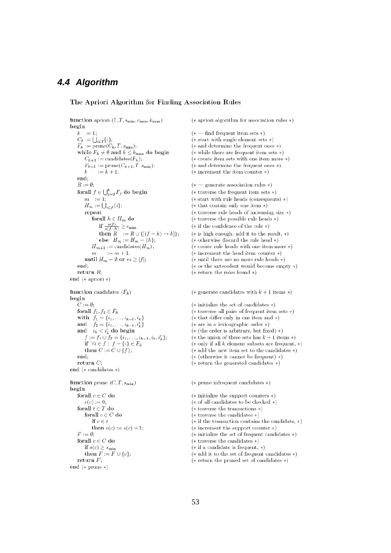#### *4.4 Algorithm*

#### The Apriori Algorithm for Finding Association Rules

function apriori  $(I, T, s_{\min}, c_{\min}, k_{\max})$ begin  $k := 1;$  $C_k := \bigcup_{i \in I} \{i\};$  $F_k := \text{prune}(C_k, T, s_{\text{min}});$ while  $F_k \neq \emptyset$  and  $k \leq k_{\text{max}}$  do begin  $C_{k+1} := \text{candidates}(F_k);$  $F_{k+1} := \text{prune}(C_{k+1}, T, s_{\text{min}});$  $:= k + 1$ :  $\mathbf{k}$ end- $R := \emptyset$ forall  $f \in \bigcup_{j=2}^k F_j$  do begin  $m := 1;$  $H_m := \bigcup_{i \in f} \{i\};$ repeat for<br>all  $h\in H_m$  do if  $\frac{s(f)}{s(f-h)} \geq c_{\min}$ then  $R^{\prime} := R \cup \{[(f-h) \rightarrow h]\};$ else  $H_m := H_m - \{h\};$  $H_{m+1} := \text{candidates}(H_m)$  $m := m + 1;$ <br>  $m := m + 1;$ <br>
until  $H_m = \emptyset$  or  $m \ge |f|;$ end: return  $R$ ; end  $(*$  apriori  $*)$ function candidates  $(F_k)$ begin  $C := \emptyset;$ forall  $f_1, f_2 \in F_k$ with  $f_1 = \{i_1, \ldots, i_{k-1}, i_k\}$  $\begin{array}{ll} \mbox{and} & f_2 = \{i_1,\ldots,i_{k-1},i_k'\} \\ \mbox{and} & i_k < i_k' \mbox{ do begin} \end{array}$  $f := f_1 \cup f_2 = \{i_1, \ldots, i_{k-1}, i_k, i'_k\};$ if  $\forall i \in f : f - \{i\} \in F_k$ then  $C := C \cup \{f\};$ end: return  $C$ ; end ( $*$  candidates  $*)$ function prune  $(C, T, s_{\min})$ begin forall  $c \in C$  do  $s(c) := 0;$ forall $t\in T$ do for<br>all  $c\in C$  do if  $c \in t$ then  $s(c) := s(c) + 1;$  $F := \emptyset;$ forall $c\in C$ do if  $s(c) \geq s_{\min}$ then  $F := F \cup \{c\};$ return  $F$ ; end  $(*$  prune  $*)$ 

 $(*$  apriori algorithm for association rules  $*)$  $(* - find frequent item sets *)$  $(*$  start with single element sets  $*)$  $(*$  and determine the frequent ones  $*)$  $(*$  while there are frequent item sets  $*)$  $(*$  create item sets with one item more  $*)$  $(\ast$  and determine the frequent ones  $\ast)$  $(*)$  increment the item counter  $*)$  $(* -$  generate association rules  $*)$  $(*$  traverse the frequent item sets  $*)$  $(*$  start with rule heads (consequents)  $*)$  $(* that contain only one item *)$  $(*$  traverse rule heads of increasing size  $*)$  $(*$  traverse the possible rule heads  $*)$  $(*$  if the confidence of the rule  $*)$  $(*$  is high enough, add it to the result,  $*)$  $(*$  otherwise discard the rule head  $*)$  $(* \text{ create rule heads with one item more *)}$  $(*$  increment the head item counter  $*)$ (\* until there are no more rule heads \*)  $(*)$  or the antecedent would become empty  $*)$ (\* return the rules found  $*)$ 

(\* generate candidates with  $k + 1$  items \*)

 $(*)$  initialize the set of candidates  $*)$ 

- (\* traverse all pairs of frequent item sets \*)
- $(*$  that differ only in one item and  $*)$
- $(*$  are in a lexicographic order  $*)$
- $(*$  (the order is arbitrary, but fixed) \*)
- (\* the union of these sets has  $k + 1$  items \*)
- $(*$  only if all  $k$  element subsets are frequent,  $*)$
- $(*$  add the new item set to the candidates  $*)$
- $(* (otherwise it cannot be frequent) *)$
- ( $*$  return the generated candidates  $*)$
- $(*)$  prune infrequent candidates  $*)$
- $(*$  initialize the support counters  $*)$
- $(*$  of all candidates to be checked  $*)$
- $(*$  traverse the transactions  $*)$
- $(*$  traverse the candidates  $*)$
- $(*)$  if the transaction contains the candidate,  $*)$
- $(*$  increment the support counter  $*)$
- $(*$  initialize the set of frequent candidates  $*)$
- $(*$  traverse the candidates  $*)$
- $(*$  if a candidate is frequent,  $*)$
- ( $*$  add it to the set of frequent candidates  $*)$
- ( $*$  return the pruned set of candidates  $*)$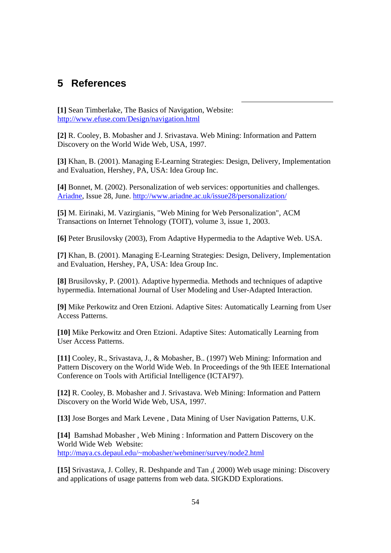# **5 References**

**[1]** Sean Timberlake, The Basics of Navigation, Website: http://www.efuse.com/Design/navigation.html

**[2]** R. Cooley, B. Mobasher and J. Srivastava. Web Mining: Information and Pattern Discovery on the World Wide Web, USA, 1997.

**[3]** Khan, B. (2001). Managing E-Learning Strategies: Design, Delivery, Implementation and Evaluation, Hershey, PA, USA: Idea Group Inc.

-

**[4]** Bonnet, M. (2002). Personalization of web services: opportunities and challenges. Ariadne, Issue 28, June. http://www.ariadne.ac.uk/issue28/personalization/

**[5]** M. Eirinaki, M. Vazirgianis, "Web Mining for Web Personalization", ACM Transactions on Internet Tehnology (TOIT), volume 3, issue 1, 2003.

**[6]** Peter Brusilovsky (2003), From Adaptive Hypermedia to the Adaptive Web. USA.

**[7]** Khan, B. (2001). Managing E-Learning Strategies: Design, Delivery, Implementation and Evaluation, Hershey, PA, USA: Idea Group Inc.

**[8]** Brusilovsky, P. (2001). Adaptive hypermedia. Methods and techniques of adaptive hypermedia. International Journal of User Modeling and User-Adapted Interaction.

**[9]** Mike Perkowitz and Oren Etzioni. Adaptive Sites: Automatically Learning from User Access Patterns.

**[10]** Mike Perkowitz and Oren Etzioni. Adaptive Sites: Automatically Learning from User Access Patterns.

**[11]** Cooley, R., Srivastava, J., & Mobasher, B.. (1997) Web Mining: Information and Pattern Discovery on the World Wide Web. In Proceedings of the 9th IEEE International Conference on Tools with Artificial Intelligence (ICTAI'97).

**[12]** R. Cooley, B. Mobasher and J. Srivastava. Web Mining: Information and Pattern Discovery on the World Wide Web, USA, 1997.

**[13]** Jose Borges and Mark Levene , Data Mining of User Navigation Patterns, U.K.

**[14]** Bamshad Mobasher , Web Mining : Information and Pattern Discovery on the World Wide Web Website: http://maya.cs.depaul.edu/~mobasher/webminer/survey/node2.html

**[15]** Srivastava, J. Colley, R. Deshpande and Tan ,( 2000) Web usage mining: Discovery and applications of usage patterns from web data. SIGKDD Explorations.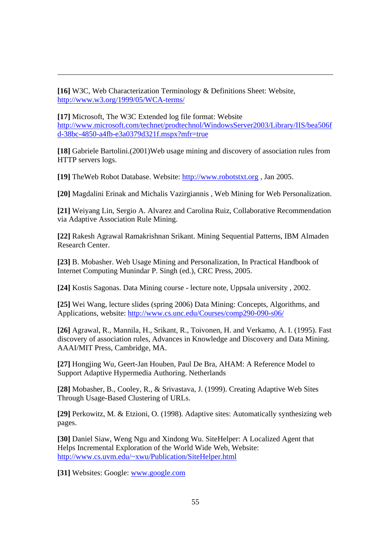**[16]** W3C, Web Characterization Terminology & Definitions Sheet: Website, http://www.w3.org/1999/05/WCA-terms/

**[17]** Microsoft, The W3C Extended log file format: Website http://www.microsoft.com/technet/prodtechnol/WindowsServer2003/Library/IIS/bea506f d-38bc-4850-a4fb-e3a0379d321f.mspx?mfr=true

**[18]** Gabriele Bartolini.(2001)Web usage mining and discovery of association rules from HTTP servers logs.

**[19]** TheWeb Robot Database. Website: http://www.robotstxt.org , Jan 2005.

**[20]** Magdalini Erinak and Michalis Vazirgiannis , Web Mining for Web Personalization.

**[21]** Weiyang Lin, Sergio A. Alvarez and Carolina Ruiz, Collaborative Recommendation via Adaptive Association Rule Mining.

**[22]** Rakesh Agrawal Ramakrishnan Srikant. Mining Sequential Patterns, IBM Almaden Research Center.

**[23]** B. Mobasher. Web Usage Mining and Personalization, In Practical Handbook of Internet Computing Munindar P. Singh (ed.), CRC Press, 2005.

**[24]** Kostis Sagonas. Data Mining course - lecture note, Uppsala university , 2002.

**[25]** Wei Wang, lecture slides (spring 2006) Data Mining: Concepts, Algorithms, and Applications, website: http://www.cs.unc.edu/Courses/comp290-090-s06/

**[26]** Agrawal, R., Mannila, H., Srikant, R., Toivonen, H. and Verkamo, A. I. (1995). Fast discovery of association rules, Advances in Knowledge and Discovery and Data Mining. AAAI/MIT Press, Cambridge, MA.

**[27]** Hongjing Wu, Geert-Jan Houben, Paul De Bra, AHAM: A Reference Model to Support Adaptive Hypermedia Authoring. Netherlands

**[28]** Mobasher, B., Cooley, R., & Srivastava, J. (1999). Creating Adaptive Web Sites Through Usage-Based Clustering of URLs.

**[29]** Perkowitz, M. & Etzioni, O. (1998). Adaptive sites: Automatically synthesizing web pages.

**[30]** Daniel Siaw, Weng Ngu and Xindong Wu. SiteHelper: A Localized Agent that Helps Incremental Exploration of the World Wide Web, Website: http://www.cs.uvm.edu/~xwu/Publication/SiteHelper.html

**[31]** Websites: Google: www.google.com